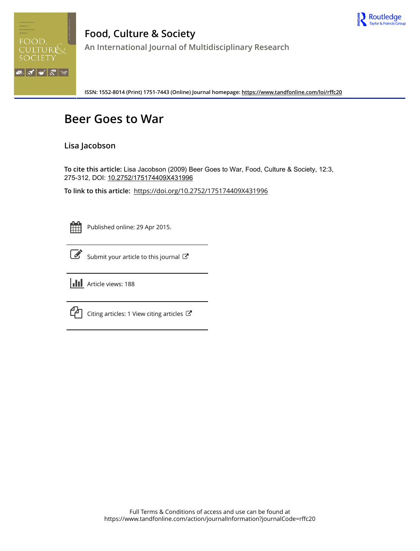



**Food, Culture & Society An International Journal of Multidisciplinary Research**

**ISSN: 1552-8014 (Print) 1751-7443 (Online) Journal homepage:<https://www.tandfonline.com/loi/rffc20>**

### **Beer Goes to War**

### **Lisa Jacobson**

**To cite this article:** Lisa Jacobson (2009) Beer Goes to War, Food, Culture & Society, 12:3, 275-312, DOI: [10.2752/175174409X431996](https://www.tandfonline.com/action/showCitFormats?doi=10.2752/175174409X431996)

**To link to this article:** <https://doi.org/10.2752/175174409X431996>



Published online: 29 Apr 2015.

|--|

[Submit your article to this journal](https://www.tandfonline.com/action/authorSubmission?journalCode=rffc20&show=instructions)  $\mathbb{Z}$ 



 $\Box$  [Citing articles: 1 View citing articles](https://www.tandfonline.com/doi/citedby/10.2752/175174409X431996#tabModule)  $\Box$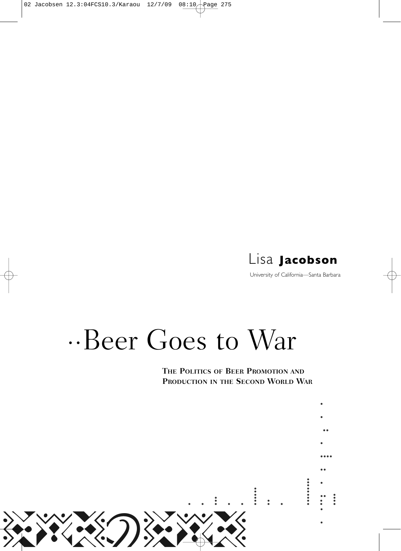

University of California—Santa Barbara

# $\cdot$ ·Beer Goes to War

**THE POLITICS OF BEER PROMOTION AND PRODUCTION IN THE SECOND WORLD WAR**

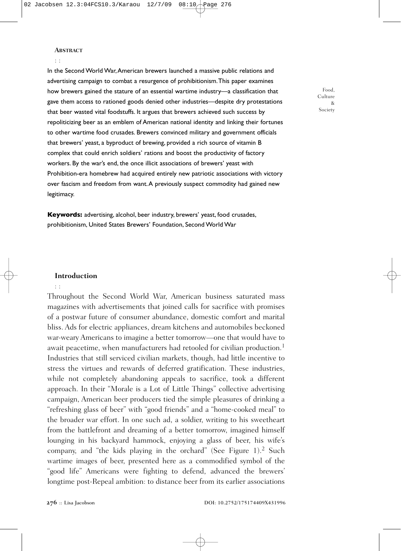### **ABSTRACT**

: :

In the Second World War,American brewers launched a massive public relations and advertising campaign to combat a resurgence of prohibitionism.This paper examines how brewers gained the stature of an essential wartime industry—a classification that gave them access to rationed goods denied other industries—despite dry protestations that beer wasted vital foodstuffs. It argues that brewers achieved such success by repoliticizing beer as an emblem of American national identity and linking their fortunes to other wartime food crusades. Brewers convinced military and government officials that brewers' yeast, a byproduct of brewing, provided a rich source of vitamin B complex that could enrich soldiers' rations and boost the productivity of factory workers. By the war's end, the once illicit associations of brewers' yeast with Prohibition-era homebrew had acquired entirely new patriotic associations with victory over fascism and freedom from want.A previously suspect commodity had gained new legitimacy.

Food, Culture & Society

prohibitionism, United States Brewers' Foundation, Second World War

**Keywords:** advertising, alcohol, beer industry, brewers' yeast, food crusades,

### **Introduction**

: :

Throughout the Second World War, American business saturated mass magazines with advertisements that joined calls for sacrifice with promises of a postwar future of consumer abundance, domestic comfort and marital bliss. Ads for electric appliances, dream kitchens and automobiles beckoned war-weary Americans to imagine a better tomorrow—one that would have to await peacetime, when manufacturers had retooled for civilian production.<sup>1</sup> Industries that still serviced civilian markets, though, had little incentive to stress the virtues and rewards of deferred gratification. These industries, while not completely abandoning appeals to sacrifice, took a different approach. In their "Morale is a Lot of Little Things" collective advertising campaign, American beer producers tied the simple pleasures of drinking a "refreshing glass of beer" with "good friends" and a "home-cooked meal" to the broader war effort. In one such ad, a soldier, writing to his sweetheart from the battlefront and dreaming of a better tomorrow, imagined himself lounging in his backyard hammock, enjoying a glass of beer, his wife's company, and "the kids playing in the orchard" (See Figure 1). <sup>2</sup> Such wartime images of beer, presented here as a commodified symbol of the "good life" Americans were fighting to defend, advanced the brewers' longtime post-Repeal ambition: to distance beer from its earlier associations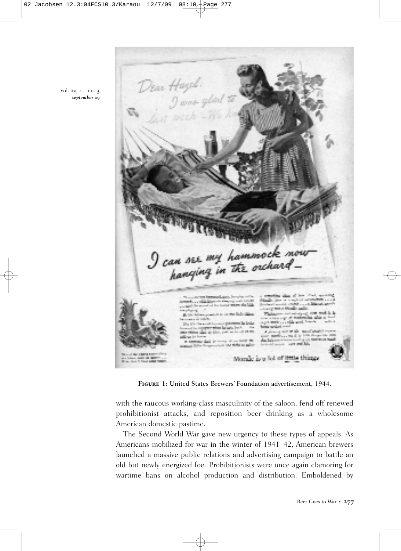Dear Hagel:<br>Javis glad to I can see my hammock now<br>hanging in the orchard less to a replace admitted a a mhór leis a company property that had mente Mandia sull an and adolescent in -a mai contain sensity parties and it pulsed over a salah satu sala state was consider the form of the conas the firm an anno 10 Morale is a lot of little things

**Figure 1:** United States Brewers' Foundation advertisement, 1944.

with the raucous working-class masculinity of the saloon, fend off renewed prohibitionist attacks, and reposition beer drinking as a wholesome American domestic pastime.

The Second World War gave new urgency to these types of appeals. As Americans mobilized for war in the winter of 1941–42, American brewers launched a massive public relations and advertising campaign to battle an old but newly energized foe. Prohibitionists were once again clamoring for wartime bans on alcohol production and distribution. Emboldened by

vol. **12** :: no. **3** *september* **09**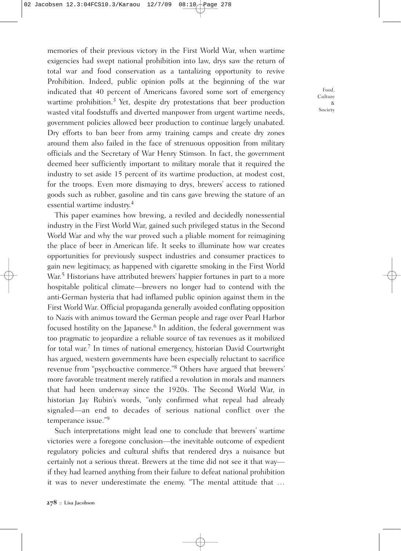memories of their previous victory in the First World War, when wartime exigencies had swept national prohibition into law, drys saw the return of total war and food conservation as a tantalizing opportunity to revive Prohibition. Indeed, public opinion polls at the beginning of the war indicated that 40 percent of Americans favored some sort of emergency wartime prohibition. <sup>3</sup> Yet, despite dry protestations that beer production wasted vital foodstuffs and diverted manpower from urgent wartime needs, government policies allowed beer production to continue largely unabated. Dry efforts to ban beer from army training camps and create dry zones around them also failed in the face of strenuous opposition from military officials and the Secretary of War Henry Stimson. In fact, the government deemed beer sufficiently important to military morale that it required the industry to set aside 15 percent of its wartime production, at modest cost, for the troops. Even more dismaying to drys, brewers' access to rationed goods such as rubber, gasoline and tin cans gave brewing the stature of an essential wartime industry. 4

This paper examines how brewing, a reviled and decidedly nonessential industry in the First World War, gained such privileged status in the Second World War and why the war proved such a pliable moment for reimagining the place of beer in American life. It seeks to illuminate how war creates opportunities for previously suspect industries and consumer practices to gain new legitimacy, as happened with cigarette smoking in the First World War. <sup>5</sup> Historians have attributed brewers' happier fortunes in part to a more hospitable political climate—brewers no longer had to contend with the anti-German hysteria that had inflamed public opinion against them in the First World War. Official propaganda generally avoided conflating opposition to Nazis with animus toward the German people and rage over Pearl Harbor focused hostility on the Japanese. <sup>6</sup> In addition, the federal government was too pragmatic to jeopardize a reliable source of tax revenues as it mobilized for total war. <sup>7</sup> In times of national emergency, historian David Courtwright has argued, western governments have been especially reluctant to sacrifice revenue from "psychoactive commerce."8 Others have argued that brewers' more favorable treatment merely ratified a revolution in morals and manners that had been underway since the 1920s. The Second World War, in historian Jay Rubin's words, "only confirmed what repeal had already signaled—an end to decades of serious national conflict over the temperance issue."9

Such interpretations might lead one to conclude that brewers' wartime victories were a foregone conclusion—the inevitable outcome of expedient regulatory policies and cultural shifts that rendered drys a nuisance but certainly not a serious threat. Brewers at the time did not see it that way if they had learned anything from their failure to defeat national prohibition it was to never underestimate the enemy. "The mental attitude that …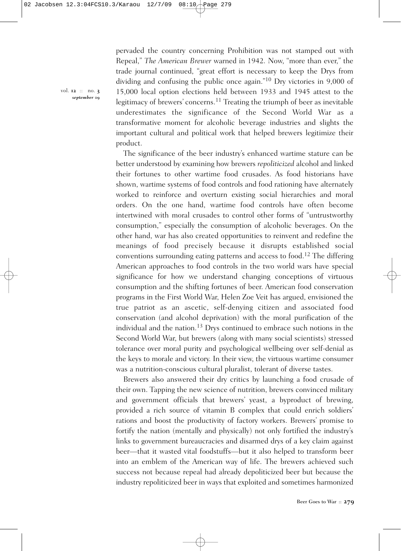pervaded the country concerning Prohibition was not stamped out with Repeal," *The American Brewer* warned in 1942. Now, "more than ever," the trade journal continued, "great effort is necessary to keep the Drys from dividing and confusing the public once again."10 Dry victories in 9,000 of 15,000 local option elections held between 1933 and 1945 attest to the legitimacy of brewers' concerns. <sup>11</sup> Treating the triumph of beer as inevitable underestimates the significance of the Second World War as a transformative moment for alcoholic beverage industries and slights the important cultural and political work that helped brewers legitimize their product.

The significance of the beer industry's enhanced wartime stature can be better understood by examining how brewers *repoliticized* alcohol and linked their fortunes to other wartime food crusades. As food historians have shown, wartime systems of food controls and food rationing have alternately worked to reinforce and overturn existing social hierarchies and moral orders. On the one hand, wartime food controls have often become intertwined with moral crusades to control other forms of "untrustworthy consumption," especially the consumption of alcoholic beverages. On the other hand, war has also created opportunities to reinvent and redefine the meanings of food precisely because it disrupts established social conventions surrounding eating patterns and access to food. <sup>12</sup> The differing American approaches to food controls in the two world wars have special significance for how we understand changing conceptions of virtuous consumption and the shifting fortunes of beer. American food conservation programs in the First World War, Helen Zoe Veit has argued, envisioned the true patriot as an ascetic, self-denying citizen and associated food conservation (and alcohol deprivation) with the moral purification of the individual and the nation. <sup>13</sup> Drys continued to embrace such notions in the Second World War, but brewers (along with many social scientists) stressed tolerance over moral purity and psychological wellbeing over self-denial as the keys to morale and victory. In their view, the virtuous wartime consumer was a nutrition-conscious cultural pluralist, tolerant of diverse tastes.

Brewers also answered their dry critics by launching a food crusade of their own. Tapping the new science of nutrition, brewers convinced military and government officials that brewers' yeast, a byproduct of brewing, provided a rich source of vitamin B complex that could enrich soldiers' rations and boost the productivity of factory workers. Brewers' promise to fortify the nation (mentally and physically) not only fortified the industry's links to government bureaucracies and disarmed drys of a key claim against beer—that it wasted vital foodstuffs—but it also helped to transform beer into an emblem of the American way of life. The brewers achieved such success not because repeal had already depoliticized beer but because the industry repoliticized beer in ways that exploited and sometimes harmonized

vol. **12** :: no. **3** *september* **09**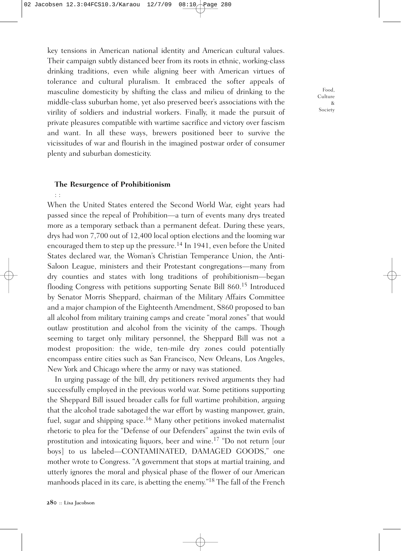key tensions in American national identity and American cultural values. Their campaign subtly distanced beer from its roots in ethnic, working-class drinking traditions, even while aligning beer with American virtues of tolerance and cultural pluralism. It embraced the softer appeals of masculine domesticity by shifting the class and milieu of drinking to the middle-class suburban home, yet also preserved beer's associations with the virility of soldiers and industrial workers. Finally, it made the pursuit of private pleasures compatible with wartime sacrifice and victory over fascism and want. In all these ways, brewers positioned beer to survive the vicissitudes of war and flourish in the imagined postwar order of consumer plenty and suburban domesticity.

### **The Resurgence of Prohibitionism**

: :

When the United States entered the Second World War, eight years had passed since the repeal of Prohibition—a turn of events many drys treated more as a temporary setback than a permanent defeat. During these years, drys had won 7,700 out of 12,400 local option elections and the looming war encouraged them to step up the pressure. <sup>14</sup> In 1941, even before the United States declared war, the Woman's Christian Temperance Union, the Anti-Saloon League, ministers and their Protestant congregations—many from dry counties and states with long traditions of prohibitionism—began flooding Congress with petitions supporting Senate Bill 860.<sup>15</sup> Introduced by Senator Morris Sheppard, chairman of the Military Affairs Committee and a major champion of the Eighteenth Amendment, S860 proposed to ban all alcohol from military training camps and create "moral zones" that would outlaw prostitution and alcohol from the vicinity of the camps. Though seeming to target only military personnel, the Sheppard Bill was not a modest proposition: the wide, ten-mile dry zones could potentially encompass entire cities such as San Francisco, New Orleans, Los Angeles, New York and Chicago where the army or navy was stationed.

In urging passage of the bill, dry petitioners revived arguments they had successfully employed in the previous world war. Some petitions supporting the Sheppard Bill issued broader calls for full wartime prohibition, arguing that the alcohol trade sabotaged the war effort by wasting manpower, grain, fuel, sugar and shipping space.<sup>16</sup> Many other petitions invoked maternalist rhetoric to plea for the "Defense of our Defenders" against the twin evils of prostitution and intoxicating liquors, beer and wine. <sup>17</sup> "Do not return [our boys] to us labeled—CONTAMINATED, DAMAGED GOODS," one mother wrote to Congress. "A government that stops at martial training, and utterly ignores the moral and physical phase of the flower of our American manhoods placed in its care, is abetting the enemy."18 The fall of the French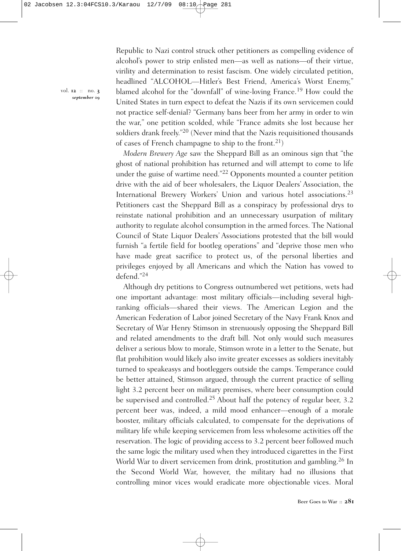Republic to Nazi control struck other petitioners as compelling evidence of alcohol's power to strip enlisted men—as well as nations—of their virtue, virility and determination to resist fascism. One widely circulated petition, headlined "ALCOHOL—Hitler's Best Friend, America's Worst Enemy," blamed alcohol for the "downfall" of wine-loving France.<sup>19</sup> How could the United States in turn expect to defeat the Nazis if its own servicemen could not practice self-denial? "Germany bans beer from her army in order to win the war," one petition scolded, while "France admits she lost because her soldiers drank freely."20 (Never mind that the Nazis requisitioned thousands of cases of French champagne to ship to the front.<sup>21</sup>)

*Modern Brewery Age* saw the Sheppard Bill as an ominous sign that "the ghost of national prohibition has returned and will attempt to come to life under the guise of wartime need."22 Opponents mounted a counter petition drive with the aid of beer wholesalers, the Liquor Dealers' Association, the International Brewery Workers' Union and various hotel associations. 23 Petitioners cast the Sheppard Bill as a conspiracy by professional drys to reinstate national prohibition and an unnecessary usurpation of military authority to regulate alcohol consumption in the armed forces. The National Council of State Liquor Dealers' Associations protested that the bill would furnish "a fertile field for bootleg operations" and "deprive those men who have made great sacrifice to protect us, of the personal liberties and privileges enjoyed by all Americans and which the Nation has vowed to defend."24

Although dry petitions to Congress outnumbered wet petitions, wets had one important advantage: most military officials—including several highranking officials—shared their views. The American Legion and the American Federation of Labor joined Secretary of the Navy Frank Knox and Secretary of War Henry Stimson in strenuously opposing the Sheppard Bill and related amendments to the draft bill. Not only would such measures deliver a serious blow to morale, Stimson wrote in a letter to the Senate, but flat prohibition would likely also invite greater excesses as soldiers inevitably turned to speakeasys and bootleggers outside the camps. Temperance could be better attained, Stimson argued, through the current practice of selling light 3.2 percent beer on military premises, where beer consumption could be supervised and controlled. <sup>25</sup> About half the potency of regular beer, 3.2 percent beer was, indeed, a mild mood enhancer—enough of a morale booster, military officials calculated, to compensate for the deprivations of military life while keeping servicemen from less wholesome activities off the reservation. The logic of providing access to 3.2 percent beer followed much the same logic the military used when they introduced cigarettes in the First World War to divert servicemen from drink, prostitution and gambling.<sup>26</sup> In the Second World War, however, the military had no illusions that controlling minor vices would eradicate more objectionable vices. Moral

vol. **12** :: no. **3** *september* **09**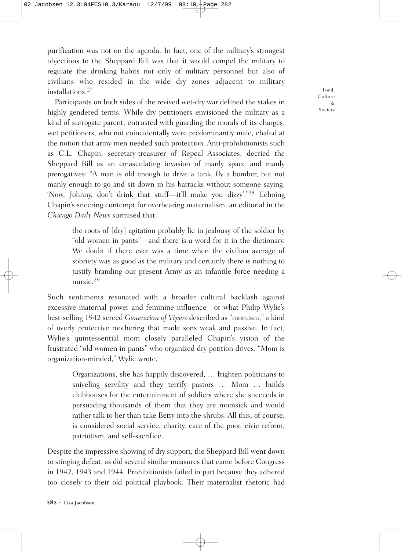purification was not on the agenda. In fact, one of the military's strongest objections to the Sheppard Bill was that it would compel the military to regulate the drinking habits not only of military personnel but also of civilians who resided in the wide dry zones adjacent to military installations. 27

Participants on both sides of the revived wet-dry war defined the stakes in highly gendered terms. While dry petitioners envisioned the military as a kind of surrogate parent, entrusted with guarding the morals of its charges, wet petitioners, who not coincidentally were predominantly male, chafed at the notion that army men needed such protection. Anti-prohibitionists such as C.L. Chapin, secretary-treasurer of Repeal Associates, decried the Sheppard Bill as an emasculating invasion of manly space and manly prerogatives: "A man is old enough to drive a tank, fly a bomber, but not manly enough to go and sit down in his barracks without someone saying: 'Now, Johnny, don't drink that stuff—it'll make you dizzy'."28 Echoing Chapin's sneering contempt for overbearing maternalism, an editorial in the *Chicago Daily News* surmised that:

> the roots of [dry] agitation probably lie in jealousy of the soldier by "old women in pants"—and there is a word for it in the dictionary. We doubt if there ever was a time when the civilian average of sobriety was as good as the military and certainly there is nothing to justify branding our present Army as an infantile force needing a nursie. 29

Such sentiments resonated with a broader cultural backlash against excessive maternal power and feminine influence—or what Philip Wylie's best-selling 1942 screed *Generation of Vipers* described as "momism," a kind of overly protective mothering that made sons weak and passive. In fact, Wylie's quintessential mom closely paralleled Chapin's vision of the frustrated "old women in pants" who organized dry petition drives. "Mom is organization-minded," Wylie wrote,

> Organizations, she has happily discovered, … frighten politicians to sniveling servility and they terrify pastors … Mom … builds clubhouses for the entertainment of soldiers where she succeeds in persuading thousands of them that they are momsick and would rather talk to her than take Betty into the shrubs. All this, of course, is considered social service, charity, care of the poor, civic reform, patriotism, and self-sacrifice.

Despite the impressive showing of dry support, the Sheppard Bill went down to stinging defeat, as did several similar measures that came before Congress in 1942, 1943 and 1944. Prohibitionists failed in part because they adhered too closely to their old political playbook. Their maternalist rhetoric had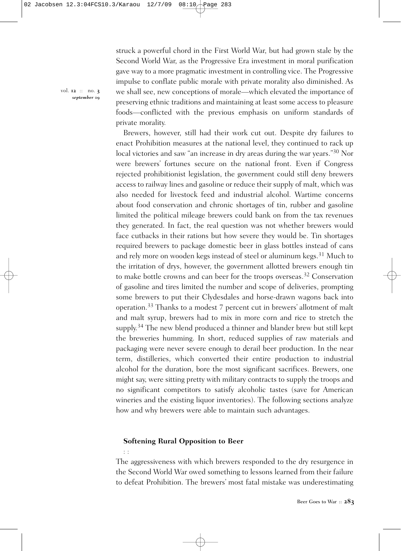struck a powerful chord in the First World War, but had grown stale by the Second World War, as the Progressive Era investment in moral purification gave way to a more pragmatic investment in controlling vice. The Progressive impulse to conflate public morale with private morality also diminished. As we shall see, new conceptions of morale—which elevated the importance of preserving ethnic traditions and maintaining at least some access to pleasure foods—conflicted with the previous emphasis on uniform standards of private morality.

Brewers, however, still had their work cut out. Despite dry failures to enact Prohibition measures at the national level, they continued to rack up local victories and saw "an increase in dry areas during the war years."30 Nor were brewers' fortunes secure on the national front. Even if Congress rejected prohibitionist legislation, the government could still deny brewers access to railway lines and gasoline or reduce their supply of malt, which was also needed for livestock feed and industrial alcohol. Wartime concerns about food conservation and chronic shortages of tin, rubber and gasoline limited the political mileage brewers could bank on from the tax revenues they generated. In fact, the real question was not whether brewers would face cutbacks in their rations but how severe they would be. Tin shortages required brewers to package domestic beer in glass bottles instead of cans and rely more on wooden kegs instead of steel or aluminum kegs. <sup>31</sup> Much to the irritation of drys, however, the government allotted brewers enough tin to make bottle crowns and can beer for the troops overseas.<sup>32</sup> Conservation of gasoline and tires limited the number and scope of deliveries, prompting some brewers to put their Clydesdales and horse-drawn wagons back into operation.<sup>33</sup> Thanks to a modest 7 percent cut in brewers' allotment of malt and malt syrup, brewers had to mix in more corn and rice to stretch the supply.<sup>34</sup> The new blend produced a thinner and blander brew but still kept the breweries humming. In short, reduced supplies of raw materials and packaging were never severe enough to derail beer production. In the near term, distilleries, which converted their entire production to industrial alcohol for the duration, bore the most significant sacrifices. Brewers, one might say, were sitting pretty with military contracts to supply the troops and no significant competitors to satisfy alcoholic tastes (save for American wineries and the existing liquor inventories). The following sections analyze how and why brewers were able to maintain such advantages.

### **Softening Rural Opposition to Beer**

: :

The aggressiveness with which brewers responded to the dry resurgence in the Second World War owed something to lessons learned from their failure to defeat Prohibition. The brewers' most fatal mistake was underestimating

vol. **12** :: no. **3** *september* **09**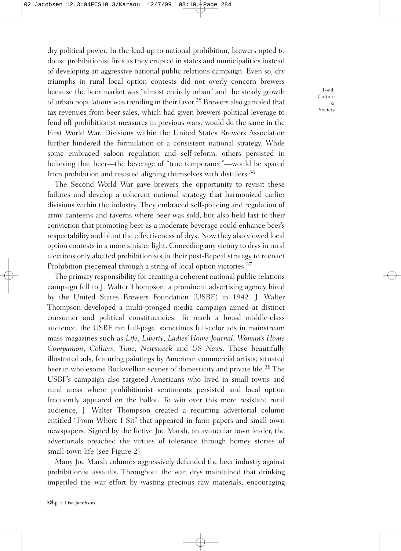dry political power. In the lead-up to national prohibition, brewers opted to douse prohibitionist fires as they erupted in states and municipalities instead of developing an aggressive national public relations campaign. Even so, dry triumphs in rural local option contests did not overly concern brewers because the beer market was "almost entirely urban" and the steady growth of urban populations was trending in their favor. <sup>35</sup> Brewers also gambled that tax revenues from beer sales, which had given brewers political leverage to fend off prohibitionist measures in previous wars, would do the same in the First World War. Divisions within the United States Brewers Association further hindered the formulation of a consistent national strategy. While some embraced saloon regulation and self-reform, others persisted in believing that beer—the beverage of "true temperance"—would be spared from prohibition and resisted aligning themselves with distillers. 36

The Second World War gave brewers the opportunity to revisit these failures and develop a coherent national strategy that harmonized earlier divisions within the industry. They embraced self-policing and regulation of army canteens and taverns where beer was sold, but also held fast to their conviction that promoting beer as a moderate beverage could enhance beer's respectability and blunt the effectiveness of drys. Now they also viewed local option contests in a more sinister light. Conceding any victory to drys in rural elections only abetted prohibitionists in their post-Repeal strategy to reenact Prohibition piecemeal through a string of local option victories.<sup>37</sup>

The primary responsibility for creating a coherent national public relations campaign fell to J. Walter Thompson, a prominent advertising agency hired by the United States Brewers Foundation (USBF) in 1942. J. Walter Thompson developed a multi-pronged media campaign aimed at distinct consumer and political constituencies. To reach a broad middle-class audience, the USBF ran full-page, sometimes full-color ads in mainstream mass magazines such as *Life*, *Liberty*, *Ladies' Home Journal*, *Woman's Home Companion*, *Colliers*, *Time*, *Newsweek* and *US News*. These beautifully illustrated ads, featuring paintings by American commercial artists, situated beer in wholesome Rockwellian scenes of domesticity and private life. <sup>38</sup> The USBF's campaign also targeted Americans who lived in small towns and rural areas where prohibitionist sentiments persisted and local option frequently appeared on the ballot. To win over this more resistant rural audience, J. Walter Thompson created a recurring advertorial column entitled "From Where I Sit" that appeared in farm papers and small-town newspapers. Signed by the fictive Joe Marsh, an avuncular town leader, the advertorials preached the virtues of tolerance through homey stories of small-town life (see Figure 2).

Many Joe Marsh columns aggressively defended the beer industry against prohibitionist assaults. Throughout the war, drys maintained that drinking imperiled the war effort by wasting precious raw materials, encouraging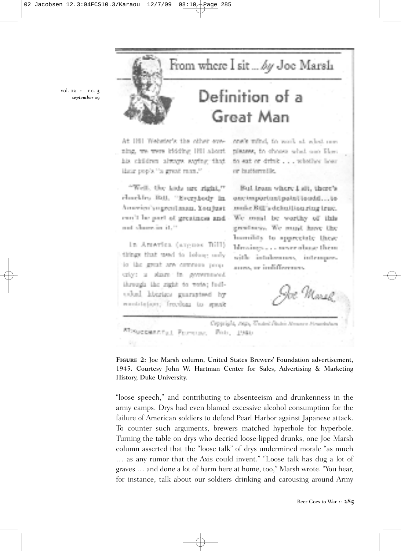From where I sit ... by Joe Marsh

vol. **12** :: no. **3** *september* **09**

## Definition of a Great Man

At 181 Webster's the other eyening, we were iddding IRI about his children always saying that idation propries the ground return.<sup>10</sup>

"Well, the kids are right," closed by J011, "Everybody in America's a great mass. You just can't be part of greatness and and shows in 11.25

in America (argues Bill). things that used to holong only io the great any common never criot a sizen in government through the right to wote; fudividual libratics guaranteed by wooddeport; Irreduar to spank cost's mind, to work at what one planax, in choose what and Flow. to ext or drink . . . whether hear or buttermille.

Bul Iram where I all, there's encimperium) point touchi...tomaile Bill's debuillion ring truc. We could be worthy of this growliness, We music have the homedia to spaceciate these blevaings.....moverabase them. with: intolerances, intemporarres, ar indifference.

e: Marek,

Copyright, 1992, Unded States Mossors Household ROSECEMENTAL PERSONAL FOR. 1980.

**Figure 2:** Joe Marsh column, United States Brewers' Foundation advertisement, 1945. Courtesy John W. Hartman Center for Sales, Advertising & Marketing History, Duke University.

"loose speech," and contributing to absenteeism and drunkenness in the army camps. Drys had even blamed excessive alcohol consumption for the failure of American soldiers to defend Pearl Harbor against Japanese attack. To counter such arguments, brewers matched hyperbole for hyperbole. Turning the table on drys who decried loose-lipped drunks, one Joe Marsh column asserted that the "loose talk" of drys undermined morale "as much … as any rumor that the Axis could invent." "Loose talk has dug a lot of graves … and done a lot of harm here at home, too," Marsh wrote. "You hear, for instance, talk about our soldiers drinking and carousing around Army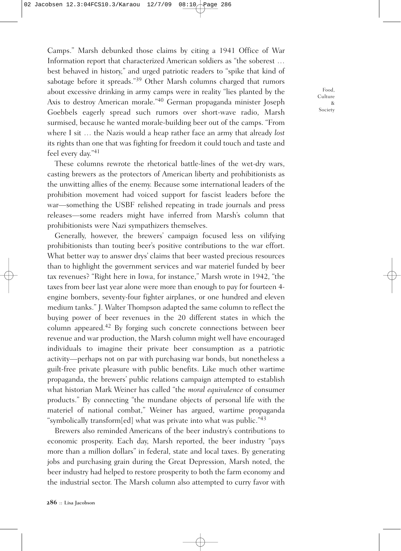Camps." Marsh debunked those claims by citing a 1941 Office of War Information report that characterized American soldiers as "the soberest … best behaved in history," and urged patriotic readers to "spike that kind of sabotage before it spreads."<sup>39</sup> Other Marsh columns charged that rumors about excessive drinking in army camps were in reality "lies planted by the Axis to destroy American morale."40 German propaganda minister Joseph Goebbels eagerly spread such rumors over short-wave radio, Marsh surmised, because he wanted morale-building beer out of the camps. "From where I sit … the Nazis would a heap rather face an army that already *lost* its rights than one that was fighting for freedom it could touch and taste and feel every day."41

These columns rewrote the rhetorical battle-lines of the wet-dry wars, casting brewers as the protectors of American liberty and prohibitionists as the unwitting allies of the enemy. Because some international leaders of the prohibition movement had voiced support for fascist leaders before the war—something the USBF relished repeating in trade journals and press releases—some readers might have inferred from Marsh's column that prohibitionists were Nazi sympathizers themselves.

Generally, however, the brewers' campaign focused less on vilifying prohibitionists than touting beer's positive contributions to the war effort. What better way to answer drys' claims that beer wasted precious resources than to highlight the government services and war materiel funded by beer tax revenues? "Right here in Iowa, for instance," Marsh wrote in 1942, "the taxes from beer last year alone were more than enough to pay for fourteen 4 engine bombers, seventy-four fighter airplanes, or one hundred and eleven medium tanks." J. Walter Thompson adapted the same column to reflect the buying power of beer revenues in the 20 different states in which the column appeared. <sup>42</sup> By forging such concrete connections between beer revenue and war production, the Marsh column might well have encouraged individuals to imagine their private beer consumption as a patriotic activity—perhaps not on par with purchasing war bonds, but nonetheless a guilt-free private pleasure with public benefits. Like much other wartime propaganda, the brewers' public relations campaign attempted to establish what historian Mark Weiner has called "the *moral equivalence* of consumer products." By connecting "the mundane objects of personal life with the materiel of national combat," Weiner has argued, wartime propaganda "symbolically transform[ed] what was private into what was public."43

Brewers also reminded Americans of the beer industry's contributions to economic prosperity. Each day, Marsh reported, the beer industry "pays more than a million dollars" in federal, state and local taxes. By generating jobs and purchasing grain during the Great Depression, Marsh noted, the beer industry had helped to restore prosperity to both the farm economy and the industrial sector. The Marsh column also attempted to curry favor with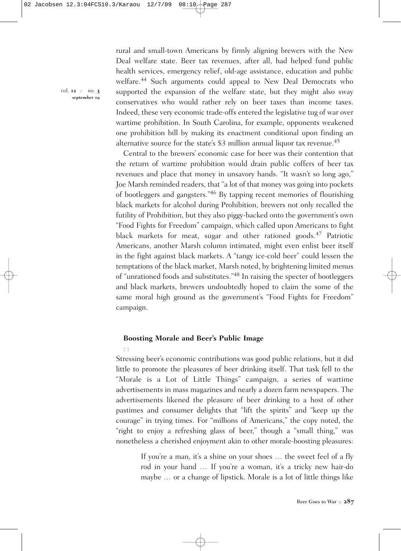rural and small-town Americans by firmly aligning brewers with the New Deal welfare state. Beer tax revenues, after all, had helped fund public health services, emergency relief, old-age assistance, education and public welfare. <sup>44</sup> Such arguments could appeal to New Deal Democrats who supported the expansion of the welfare state, but they might also sway conservatives who would rather rely on beer taxes than income taxes. Indeed, these very economic trade-offs entered the legislative tug of war over wartime prohibition. In South Carolina, for example, opponents weakened one prohibition bill by making its enactment conditional upon finding an alternative source for the state's \$3 million annual liquor tax revenue.<sup>45</sup>

Central to the brewers' economic case for beer was their contention that the return of wartime prohibition would drain public coffers of beer tax revenues and place that money in unsavory hands. "It wasn't so long ago," Joe Marsh reminded readers, that "a lot of that money was going into pockets of bootleggers and gangsters."46 By tapping recent memories of flourishing black markets for alcohol during Prohibition, brewers not only recalled the futility of Prohibition, but they also piggy-backed onto the government's own "Food Fights for Freedom" campaign, which called upon Americans to fight black markets for meat, sugar and other rationed goods. <sup>47</sup> Patriotic Americans, another Marsh column intimated, might even enlist beer itself in the fight against black markets. A "tangy ice-cold beer" could lessen the temptations of the black market, Marsh noted, by brightening limited menus of "unrationed foods and substitutes."48 In raising the specter of bootleggers and black markets, brewers undoubtedly hoped to claim the some of the same moral high ground as the government's "Food Fights for Freedom" campaign.

### **Boosting Morale and Beer's Public Image**

: :

Stressing beer's economic contributions was good public relations, but it did little to promote the pleasures of beer drinking itself. That task fell to the "Morale is a Lot of Little Things" campaign, a series of wartime advertisements in mass magazines and nearly a dozen farm newspapers. The advertisements likened the pleasure of beer drinking to a host of other pastimes and consumer delights that "lift the spirits" and "keep up the courage" in trying times. For "millions of Americans," the copy noted, the "right to enjoy a refreshing glass of beer," though a "small thing," was nonetheless a cherished enjoyment akin to other morale-boosting pleasures:

> If you're a man, it's a shine on your shoes ... the sweet feel of a fly rod in your hand … If you're a woman, it's a tricky new hair-do maybe … or a change of lipstick. Morale is a lot of little things like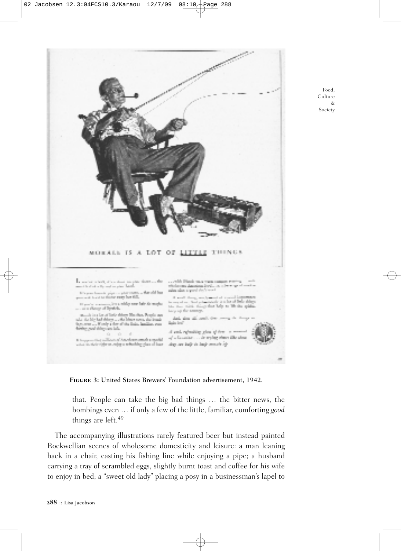

Food, Culture & Society

**Figure 3:** United States Brewers' Foundation advertisement, 1942.

that. People can take the big bad things … the bitter news, the bombings even … if only a few of the little, familiar, comforting *good* things are left. 49

The accompanying illustrations rarely featured beer but instead painted Rockwellian scenes of wholesome domesticity and leisure: a man leaning back in a chair, casting his fishing line while enjoying a pipe; a husband carrying a tray of scrambled eggs, slightly burnt toast and coffee for his wife to enjoy in bed; a "sweet old lady" placing a posy in a businessman's lapel to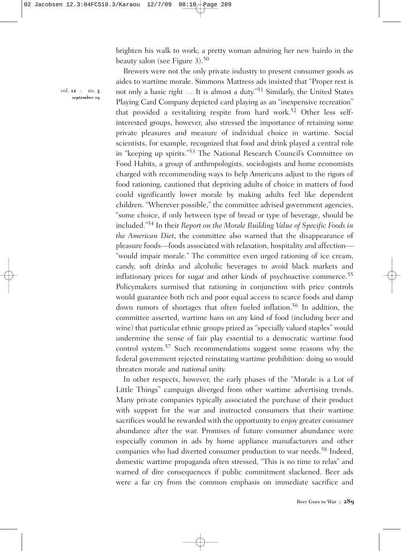brighten his walk to work; a pretty woman admiring her new hairdo in the beauty salon (see Figure 3). 50

vol. **12** :: no. **3** *september* **09**

Brewers were not the only private industry to present consumer goods as aides to wartime morale. Simmons Mattress ads insisted that "Proper rest is not only a basic *right* … It is almost a duty."51 Similarly, the United States Playing Card Company depicted card playing as an "inexpensive recreation" that provided a revitalizing respite from hard work. <sup>52</sup> Other less selfinterested groups, however, also stressed the importance of retaining some private pleasures and measure of individual choice in wartime. Social scientists, for example, recognized that food and drink played a central role in "keeping up spirits."53 The National Research Council's Committee on Food Habits, a group of anthropologists, sociologists and home economists charged with recommending ways to help Americans adjust to the rigors of food rationing, cautioned that depriving adults of choice in matters of food could significantly lower morale by making adults feel like dependent children. "Wherever possible," the committee advised government agencies, "some choice, if only between type of bread or type of beverage, should be included."54 In their *Report on the Morale Building Value of Specific Foods in the American Diet*, the committee also warned that the disappearance of pleasure foods—foods associated with relaxation, hospitality and affection— "would impair morale." The committee even urged rationing of ice cream, candy, soft drinks and alcoholic beverages to avoid black markets and inflationary prices for sugar and other kinds of psychoactive commerce. 55 Policymakers surmised that rationing in conjunction with price controls would guarantee both rich and poor equal access to scarce foods and damp down rumors of shortages that often fueled inflation. <sup>56</sup> In addition, the committee asserted, wartime bans on any kind of food (including beer and wine) that particular ethnic groups prized as "specially valued staples" would undermine the sense of fair play essential to a democratic wartime food control system. <sup>57</sup> Such recommendations suggest some reasons why the federal government rejected reinstating wartime prohibition: doing so would threaten morale and national unity.

In other respects, however, the early phases of the "Morale is a Lot of Little Things" campaign diverged from other wartime advertising trends. Many private companies typically associated the purchase of their product with support for the war and instructed consumers that their wartime sacrifices would be rewarded with the opportunity to enjoy greater consumer abundance after the war. Promises of future consumer abundance were especially common in ads by home appliance manufacturers and other companies who had diverted consumer production to war needs. <sup>58</sup> Indeed, domestic wartime propaganda often stressed, "This is no time to relax" and warned of dire consequences if public commitment slackened. Beer ads were a far cry from the common emphasis on immediate sacrifice and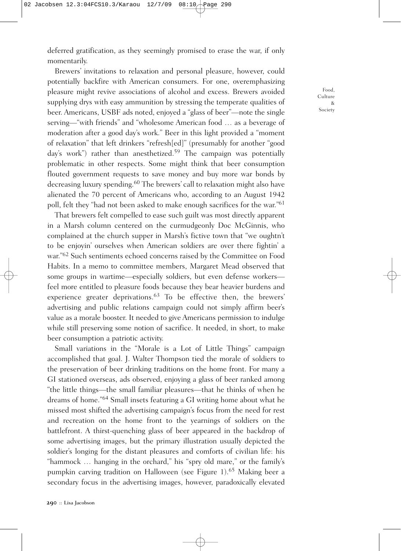deferred gratification, as they seemingly promised to erase the war, if only momentarily.

Brewers' invitations to relaxation and personal pleasure, however, could potentially backfire with American consumers. For one, overemphasizing pleasure might revive associations of alcohol and excess. Brewers avoided supplying drys with easy ammunition by stressing the temperate qualities of beer. Americans, USBF ads noted, enjoyed a "glass of beer"—note the single serving—"with friends" and "wholesome American food … as a beverage of moderation after a good day's work." Beer in this light provided a "moment of relaxation" that left drinkers "refresh[ed]" (presumably for another "good day's work") rather than anesthetized.<sup>59</sup> The campaign was potentially problematic in other respects. Some might think that beer consumption flouted government requests to save money and buy more war bonds by decreasing luxury spending. <sup>60</sup> The brewers' call to relaxation might also have alienated the 70 percent of Americans who, according to an August 1942 poll, felt they "had not been asked to make enough sacrifices for the war."<sup>61</sup>

That brewers felt compelled to ease such guilt was most directly apparent in a Marsh column centered on the curmudgeonly Doc McGinnis, who complained at the church supper in Marsh's fictive town that "we oughtn't to be enjoyin' ourselves when American soldiers are over there fightin' a war."62 Such sentiments echoed concerns raised by the Committee on Food Habits. In a memo to committee members, Margaret Mead observed that some groups in wartime—especially soldiers, but even defense workers feel more entitled to pleasure foods because they bear heavier burdens and experience greater deprivations. <sup>63</sup> To be effective then, the brewers' advertising and public relations campaign could not simply affirm beer's value as a morale booster. It needed to give Americans permission to indulge while still preserving some notion of sacrifice. It needed, in short, to make beer consumption a patriotic activity.

Small variations in the "Morale is a Lot of Little Things" campaign accomplished that goal. J. Walter Thompson tied the morale of soldiers to the preservation of beer drinking traditions on the home front. For many a GI stationed overseas, ads observed, enjoying a glass of beer ranked among "the little things—the small familiar pleasures—that he thinks of when he dreams of home."64 Small insets featuring a GI writing home about what he missed most shifted the advertising campaign's focus from the need for rest and recreation on the home front to the yearnings of soldiers on the battlefront. A thirst-quenching glass of beer appeared in the backdrop of some advertising images, but the primary illustration usually depicted the soldier's longing for the distant pleasures and comforts of civilian life: his "hammock … hanging in the orchard," his "spry old mare," or the family's pumpkin carving tradition on Halloween (see Figure 1). <sup>65</sup> Making beer a secondary focus in the advertising images, however, paradoxically elevated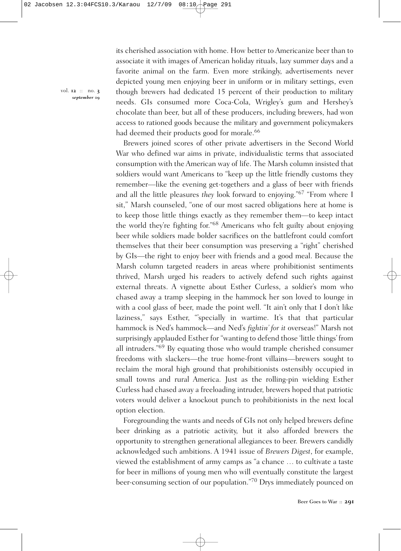its cherished association with home. How better to Americanize beer than to associate it with images of American holiday rituals, lazy summer days and a favorite animal on the farm. Even more strikingly, advertisements never depicted young men enjoying beer in uniform or in military settings, even though brewers had dedicated 15 percent of their production to military needs. GIs consumed more Coca-Cola, Wrigley's gum and Hershey's chocolate than beer, but all of these producers, including brewers, had won access to rationed goods because the military and government policymakers had deemed their products good for morale.<sup>66</sup>

Brewers joined scores of other private advertisers in the Second World War who defined war aims in private, individualistic terms that associated consumption with the American way of life. The Marsh column insisted that soldiers would want Americans to "keep up the little friendly customs they remember—like the evening get-togethers and a glass of beer with friends and all the little pleasures *they* look forward to enjoying."67 "From where I sit," Marsh counseled, "one of our most sacred obligations here at home is to keep those little things exactly as they remember them—to keep intact the world they're fighting for."68 Americans who felt guilty about enjoying beer while soldiers made bolder sacrifices on the battlefront could comfort themselves that their beer consumption was preserving a "right" cherished by GIs—the right to enjoy beer with friends and a good meal. Because the Marsh column targeted readers in areas where prohibitionist sentiments thrived, Marsh urged his readers to actively defend such rights against external threats. A vignette about Esther Curless, a soldier's mom who chased away a tramp sleeping in the hammock her son loved to lounge in with a cool glass of beer, made the point well. "It ain't only that I don't like laziness," says Esther, "'specially in wartime. It's that that particular hammock is Ned's hammock—and Ned's *fightin' for it* overseas!" Marsh not surprisingly applauded Esther for "wanting to defend those 'little things' from all intruders."69 By equating those who would trample cherished consumer freedoms with slackers—the true home-front villains—brewers sought to reclaim the moral high ground that prohibitionists ostensibly occupied in small towns and rural America. Just as the rolling-pin wielding Esther Curless had chased away a freeloading intruder, brewers hoped that patriotic voters would deliver a knockout punch to prohibitionists in the next local option election.

Foregrounding the wants and needs of GIs not only helped brewers define beer drinking as a patriotic activity, but it also afforded brewers the opportunity to strengthen generational allegiances to beer. Brewers candidly acknowledged such ambitions. A 1941 issue of *Brewers Digest*, for example, viewed the establishment of army camps as "a chance … to cultivate a taste for beer in millions of young men who will eventually constitute the largest beer-consuming section of our population."70 Drys immediately pounced on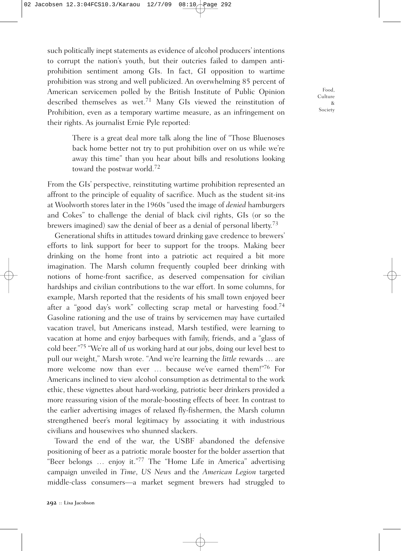such politically inept statements as evidence of alcohol producers' intentions to corrupt the nation's youth, but their outcries failed to dampen antiprohibition sentiment among GIs. In fact, GI opposition to wartime prohibition was strong and well publicized. An overwhelming 85 percent of American servicemen polled by the British Institute of Public Opinion described themselves as wet. <sup>71</sup> Many GIs viewed the reinstitution of Prohibition, even as a temporary wartime measure, as an infringement on their rights. As journalist Ernie Pyle reported:

> There is a great deal more talk along the line of "Those Bluenoses back home better not try to put prohibition over on us while we're away this time" than you hear about bills and resolutions looking toward the postwar world. 72

From the GIs' perspective, reinstituting wartime prohibition represented an affront to the principle of equality of sacrifice. Much as the student sit-ins at Woolworth stores later in the 1960s "used the image of *denied* hamburgers and Cokes" to challenge the denial of black civil rights, GIs (or so the brewers imagined) saw the denial of beer as a denial of personal liberty.<sup>73</sup>

Generational shifts in attitudes toward drinking gave credence to brewers' efforts to link support for beer to support for the troops. Making beer drinking on the home front into a patriotic act required a bit more imagination. The Marsh column frequently coupled beer drinking with notions of home-front sacrifice, as deserved compensation for civilian hardships and civilian contributions to the war effort. In some columns, for example, Marsh reported that the residents of his small town enjoyed beer after a "good day's work" collecting scrap metal or harvesting food.<sup>74</sup> Gasoline rationing and the use of trains by servicemen may have curtailed vacation travel, but Americans instead, Marsh testified, were learning to vacation at home and enjoy barbeques with family, friends, and a "glass of cold beer."75 "We're all of us working hard at our jobs, doing our level best to pull our weight," Marsh wrote. "And we're learning the *little* rewards … are more welcome now than ever … because we've earned them!"76 For Americans inclined to view alcohol consumption as detrimental to the work ethic, these vignettes about hard-working, patriotic beer drinkers provided a more reassuring vision of the morale-boosting effects of beer. In contrast to the earlier advertising images of relaxed fly-fishermen, the Marsh column strengthened beer's moral legitimacy by associating it with industrious civilians and housewives who shunned slackers.

Toward the end of the war, the USBF abandoned the defensive positioning of beer as a patriotic morale booster for the bolder assertion that "Beer belongs … enjoy it."<sup>77</sup> The "Home Life in America" advertising campaign unveiled in *Time*, *US News* and the *American Legion* targeted middle-class consumers—a market segment brewers had struggled to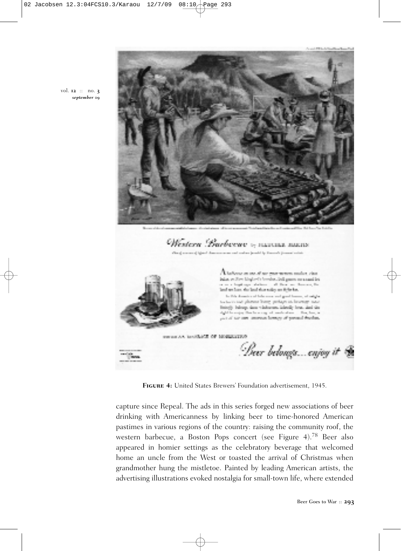

**Figure 4:** United States Brewers' Foundation advertisement, 1945.

communication of Education AA nature

a an ing of our more means, such as their iska, et fire hisplanic breaks, but guara communities

land we have the land that safety on fight has. to this domain of take over and good boson, a to in our planned inner protage as browner was offs belongs does windowned inherity look, that the dight for entire that he wrong with analyzed and ... They have, can of our own amounts beings of present fraction.

shakens and then are thereing the

Deer belongs enjoy it

capture since Repeal. The ads in this series forged new associations of beer drinking with Americanness by linking beer to time-honored American pastimes in various regions of the country: raising the community roof, the western barbecue, a Boston Pops concert (see Figure 4). <sup>78</sup> Beer also appeared in homier settings as the celebratory beverage that welcomed home an uncle from the West or toasted the arrival of Christmas when grandmother hung the mistletoe. Painted by leading American artists, the advertising illustrations evoked nostalgia for small-town life, where extended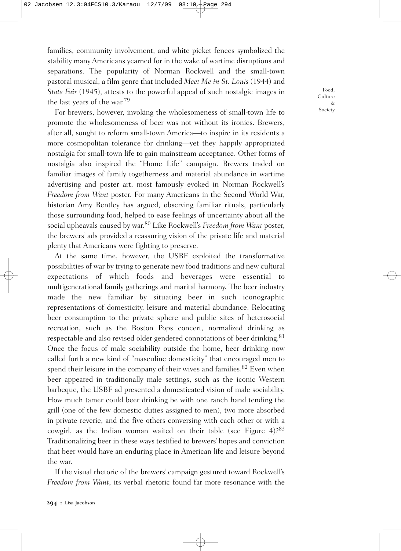families, community involvement, and white picket fences symbolized the stability many Americans yearned for in the wake of wartime disruptions and separations. The popularity of Norman Rockwell and the small-town pastoral musical, a film genre that included *Meet Me in St. Louis* (1944) and *State Fair* (1945), attests to the powerful appeal of such nostalgic images in the last years of the war. 79

For brewers, however, invoking the wholesomeness of small-town life to promote the wholesomeness of beer was not without its ironies. Brewers, after all, sought to reform small-town America—to inspire in its residents a more cosmopolitan tolerance for drinking—yet they happily appropriated nostalgia for small-town life to gain mainstream acceptance. Other forms of nostalgia also inspired the "Home Life" campaign. Brewers traded on familiar images of family togetherness and material abundance in wartime advertising and poster art, most famously evoked in Norman Rockwell's *Freedom from Want* poster. For many Americans in the Second World War, historian Amy Bentley has argued, observing familiar rituals, particularly those surrounding food, helped to ease feelings of uncertainty about all the social upheavals caused by war. <sup>80</sup> Like Rockwell's *Freedom from Want* poster, the brewers' ads provided a reassuring vision of the private life and material plenty that Americans were fighting to preserve.

At the same time, however, the USBF exploited the transformative possibilities of war by trying to generate new food traditions and new cultural expectations of which foods and beverages were essential to multigenerational family gatherings and marital harmony. The beer industry made the new familiar by situating beer in such iconographic representations of domesticity, leisure and material abundance. Relocating beer consumption to the private sphere and public sites of heterosocial recreation, such as the Boston Pops concert, normalized drinking as respectable and also revised older gendered connotations of beer drinking.<sup>81</sup> Once the focus of male sociability outside the home, beer drinking now called forth a new kind of "masculine domesticity" that encouraged men to spend their leisure in the company of their wives and families.<sup>82</sup> Even when beer appeared in traditionally male settings, such as the iconic Western barbeque, the USBF ad presented a domesticated vision of male sociability. How much tamer could beer drinking be with one ranch hand tending the grill (one of the few domestic duties assigned to men), two more absorbed in private reverie, and the five others conversing with each other or with a cowgirl, as the Indian woman waited on their table (see Figure  $4$ )?<sup>83</sup> Traditionalizing beer in these ways testified to brewers' hopes and conviction that beer would have an enduring place in American life and leisure beyond the war.

If the visual rhetoric of the brewers' campaign gestured toward Rockwell's *Freedom from Want*, its verbal rhetoric found far more resonance with the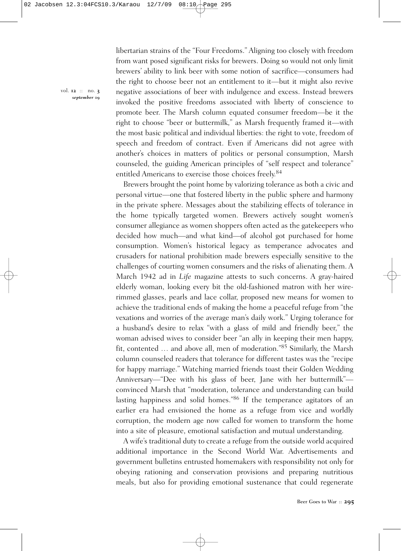libertarian strains of the "Four Freedoms." Aligning too closely with freedom from want posed significant risks for brewers. Doing so would not only limit brewers' ability to link beer with some notion of sacrifice—consumers had the right to choose beer not an entitlement to it—but it might also revive negative associations of beer with indulgence and excess. Instead brewers invoked the positive freedoms associated with liberty of conscience to promote beer. The Marsh column equated consumer freedom—be it the right to choose "beer or buttermilk," as Marsh frequently framed it—with the most basic political and individual liberties: the right to vote, freedom of speech and freedom of contract. Even if Americans did not agree with another's choices in matters of politics or personal consumption, Marsh counseled, the guiding American principles of "self respect and tolerance" entitled Americans to exercise those choices freely. 84

Brewers brought the point home by valorizing tolerance as both a civic and personal virtue—one that fostered liberty in the public sphere and harmony in the private sphere. Messages about the stabilizing effects of tolerance in the home typically targeted women. Brewers actively sought women's consumer allegiance as women shoppers often acted as the gatekeepers who decided how much—and what kind—of alcohol got purchased for home consumption. Women's historical legacy as temperance advocates and crusaders for national prohibition made brewers especially sensitive to the challenges of courting women consumers and the risks of alienating them. A March 1942 ad in *Life* magazine attests to such concerns. A gray-haired elderly woman, looking every bit the old-fashioned matron with her wirerimmed glasses, pearls and lace collar, proposed new means for women to achieve the traditional ends of making the home a peaceful refuge from "the vexations and worries of the average man's daily work." Urging tolerance for a husband's desire to relax "with a glass of mild and friendly beer," the woman advised wives to consider beer "an ally in keeping their men happy, fit, contented … and above all, men of moderation."85 Similarly, the Marsh column counseled readers that tolerance for different tastes was the "recipe for happy marriage." Watching married friends toast their Golden Wedding Anniversary—"Dee with his glass of beer, Jane with her buttermilk" convinced Marsh that "moderation, tolerance and understanding can build lasting happiness and solid homes."86 If the temperance agitators of an earlier era had envisioned the home as a refuge from vice and worldly corruption, the modern age now called for women to transform the home into a site of pleasure, emotional satisfaction and mutual understanding.

A wife's traditional duty to create a refuge from the outside world acquired additional importance in the Second World War. Advertisements and government bulletins entrusted homemakers with responsibility not only for obeying rationing and conservation provisions and preparing nutritious meals, but also for providing emotional sustenance that could regenerate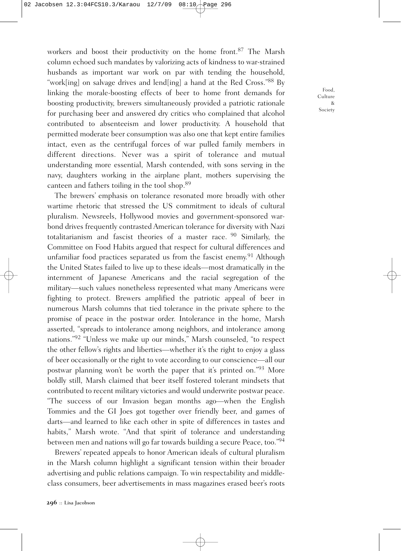workers and boost their productivity on the home front. <sup>87</sup> The Marsh column echoed such mandates by valorizing acts of kindness to war-strained husbands as important war work on par with tending the household, "work[ing] on salvage drives and lend[ing] a hand at the Red Cross."88 By linking the morale-boosting effects of beer to home front demands for boosting productivity, brewers simultaneously provided a patriotic rationale for purchasing beer and answered dry critics who complained that alcohol contributed to absenteeism and lower productivity. A household that permitted moderate beer consumption was also one that kept entire families intact, even as the centrifugal forces of war pulled family members in different directions. Never was a spirit of tolerance and mutual understanding more essential, Marsh contended, with sons serving in the navy, daughters working in the airplane plant, mothers supervising the canteen and fathers toiling in the tool shop. 89

The brewers' emphasis on tolerance resonated more broadly with other wartime rhetoric that stressed the US commitment to ideals of cultural pluralism. Newsreels, Hollywood movies and government-sponsored warbond drives frequently contrasted American tolerance for diversity with Nazi totalitarianism and fascist theories of a master race. <sup>90</sup> Similarly, the Committee on Food Habits argued that respect for cultural differences and unfamiliar food practices separated us from the fascist enemy.<sup>91</sup> Although the United States failed to live up to these ideals—most dramatically in the internment of Japanese Americans and the racial segregation of the military—such values nonetheless represented what many Americans were fighting to protect. Brewers amplified the patriotic appeal of beer in numerous Marsh columns that tied tolerance in the private sphere to the promise of peace in the postwar order. Intolerance in the home, Marsh asserted, "spreads to intolerance among neighbors, and intolerance among nations."92 "Unless we make up our minds," Marsh counseled, "to respect the other fellow's rights and liberties—whether it's the right to enjoy a glass of beer occasionally or the right to vote according to our conscience—all our postwar planning won't be worth the paper that it's printed on."93 More boldly still, Marsh claimed that beer itself fostered tolerant mindsets that contributed to recent military victories and would underwrite postwar peace. "The success of our Invasion began months ago—when the English Tommies and the GI Joes got together over friendly beer, and games of darts—and learned to like each other in spite of differences in tastes and habits," Marsh wrote. "And that spirit of tolerance and understanding between men and nations will go far towards building a secure Peace, too."94

Brewers' repeated appeals to honor American ideals of cultural pluralism in the Marsh column highlight a significant tension within their broader advertising and public relations campaign. To win respectability and middleclass consumers, beer advertisements in mass magazines erased beer's roots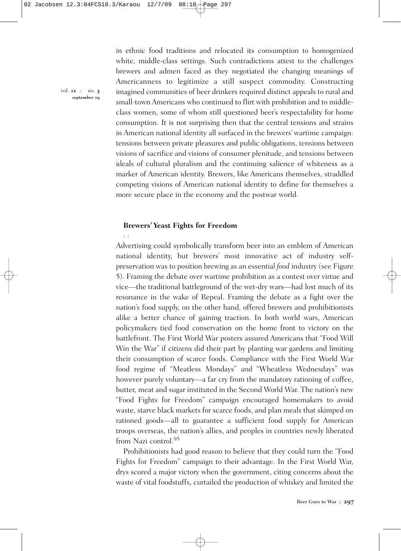in ethnic food traditions and relocated its consumption to homogenized white, middle-class settings. Such contradictions attest to the challenges brewers and admen faced as they negotiated the changing meanings of Americanness to legitimize a still suspect commodity. Constructing imagined communities of beer drinkers required distinct appeals to rural and small-town Americans who continued to flirt with prohibition and to middleclass women, some of whom still questioned beer's respectability for home consumption. It is not surprising then that the central tensions and strains in American national identity all surfaced in the brewers' wartime campaign: tensions between private pleasures and public obligations, tensions between visions of sacrifice and visions of consumer plenitude, and tensions between ideals of cultural pluralism and the continuing salience of whiteness as a marker of American identity. Brewers, like Americans themselves, straddled competing visions of American national identity to define for themselves a more secure place in the economy and the postwar world.

### **Brewers' Yeast Fights for Freedom**

: :

Advertising could symbolically transform beer into an emblem of American national identity, but brewers' most innovative act of industry selfpreservation was to position brewing as an essential *food* industry (see Figure 5). Framing the debate over wartime prohibition as a contest over virtue and vice—the traditional battleground of the wet-dry wars—had lost much of its resonance in the wake of Repeal. Framing the debate as a fight over the nation's food supply, on the other hand, offered brewers and prohibitionists alike a better chance of gaining traction. In both world wars, American policymakers tied food conservation on the home front to victory on the battlefront. The First World War posters assured Americans that "Food Will Win the War" if citizens did their part by planting war gardens and limiting their consumption of scarce foods. Compliance with the First World War food regime of "Meatless Mondays" and "Wheatless Wednesdays" was however purely voluntary—a far cry from the mandatory rationing of coffee, butter, meat and sugar instituted in the Second World War. The nation's new "Food Fights for Freedom" campaign encouraged homemakers to avoid waste, starve black markets for scarce foods, and plan meals that skimped on rationed goods—all to guarantee a sufficient food supply for American troops overseas, the nation's allies, and peoples in countries newly liberated from Nazi control. 95

Prohibitionists had good reason to believe that they could turn the "Food Fights for Freedom" campaign to their advantage. In the First World War, drys scored a major victory when the government, citing concerns about the waste of vital foodstuffs, curtailed the production of whiskey and limited the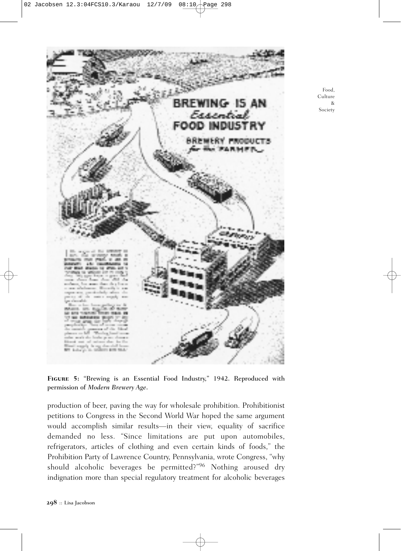

Food, Culture & Society

**Figure 5:** "Brewing is an Essential Food Industry," 1942. Reproduced with permission of *Modern Brewery Age*.

production of beer, paving the way for wholesale prohibition. Prohibitionist petitions to Congress in the Second World War hoped the same argument would accomplish similar results—in their view, equality of sacrifice demanded no less. "Since limitations are put upon automobiles, refrigerators, articles of clothing and even certain kinds of foods," the Prohibition Party of Lawrence Country, Pennsylvania, wrote Congress, "why should alcoholic beverages be permitted?"<sup>96</sup> Nothing aroused dry indignation more than special regulatory treatment for alcoholic beverages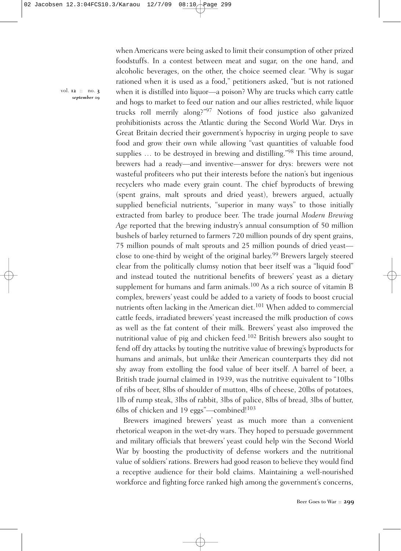when Americans were being asked to limit their consumption of other prized foodstuffs. In a contest between meat and sugar, on the one hand, and alcoholic beverages, on the other, the choice seemed clear. "Why is sugar rationed when it is used as a food," petitioners asked, "but is not rationed when it is distilled into liquor—a poison? Why are trucks which carry cattle and hogs to market to feed our nation and our allies restricted, while liquor trucks roll merrily along?"<sup>97</sup> Notions of food justice also galvanized prohibitionists across the Atlantic during the Second World War. Drys in Great Britain decried their government's hypocrisy in urging people to save food and grow their own while allowing "vast quantities of valuable food supplies ... to be destroyed in brewing and distilling."98 This time around, brewers had a ready—and inventive—answer for drys: brewers were not wasteful profiteers who put their interests before the nation's but ingenious recyclers who made every grain count. The chief byproducts of brewing (spent grains, malt sprouts and dried yeast), brewers argued, actually supplied beneficial nutrients, "superior in many ways" to those initially extracted from barley to produce beer. The trade journal *Modern Brewing Age* reported that the brewing industry's annual consumption of 50 million bushels of barley returned to farmers 720 million pounds of dry spent grains, 75 million pounds of malt sprouts and 25 million pounds of dried yeast close to one-third by weight of the original barley. <sup>99</sup> Brewers largely steered clear from the politically clumsy notion that beer itself was a "liquid food" and instead touted the nutritional benefits of brewers' yeast as a dietary supplement for humans and farm animals.<sup>100</sup> As a rich source of vitamin B complex, brewers' yeast could be added to a variety of foods to boost crucial nutrients often lacking in the American diet.<sup>101</sup> When added to commercial cattle feeds, irradiated brewers' yeast increased the milk production of cows as well as the fat content of their milk. Brewers' yeast also improved the nutritional value of pig and chicken feed. <sup>102</sup> British brewers also sought to fend off dry attacks by touting the nutritive value of brewing's byproducts for humans and animals, but unlike their American counterparts they did not shy away from extolling the food value of beer itself. A barrel of beer, a British trade journal claimed in 1939, was the nutritive equivalent to "10lbs of ribs of beer, 8lbs of shoulder of mutton, 4lbs of cheese, 20lbs of potatoes, 1lb of rump steak, 3lbs of rabbit, 3lbs of palice, 8lbs of bread, 3lbs of butter, 6lbs of chicken and 19 eggs"-combined!<sup>103</sup>

Brewers imagined brewers' yeast as much more than a convenient rhetorical weapon in the wet-dry wars. They hoped to persuade government and military officials that brewers' yeast could help win the Second World War by boosting the productivity of defense workers and the nutritional value of soldiers' rations. Brewers had good reason to believe they would find a receptive audience for their bold claims. Maintaining a well-nourished workforce and fighting force ranked high among the government's concerns,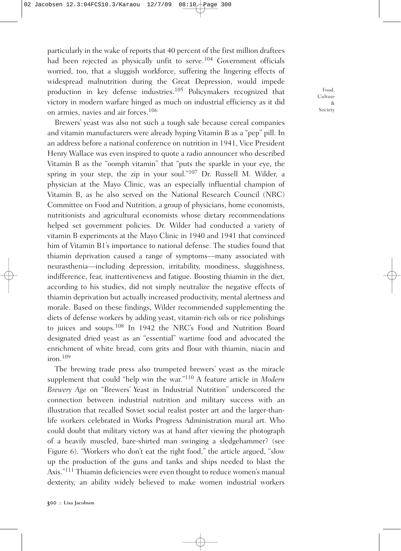particularly in the wake of reports that 40 percent of the first million draftees had been rejected as physically unfit to serve.<sup>104</sup> Government officials worried, too, that a sluggish workforce, suffering the lingering effects of widespread malnutrition during the Great Depression, would impede production in key defense industries. <sup>105</sup> Policymakers recognized that victory in modern warfare hinged as much on industrial efficiency as it did on armies, navies and air forces. 106

Brewers' yeast was also not such a tough sale because cereal companies and vitamin manufacturers were already hyping Vitamin B as a "pep" pill. In an address before a national conference on nutrition in 1941, Vice President Henry Wallace was even inspired to quote a radio announcer who described Vitamin B as the "oomph vitamin" that "puts the sparkle in your eye, the spring in your step, the zip in your soul."107 Dr. Russell M. Wilder, a physician at the Mayo Clinic, was an especially influential champion of Vitamin B, as he also served on the National Research Council (NRC) Committee on Food and Nutrition, a group of physicians, home economists, nutritionists and agricultural economists whose dietary recommendations helped set government policies. Dr. Wilder had conducted a variety of vitamin B experiments at the Mayo Clinic in 1940 and 1941 that convinced him of Vitamin B1's importance to national defense. The studies found that thiamin deprivation caused a range of symptoms—many associated with neurasthenia—including depression, irritability, moodiness, sluggishness, indifference, fear, inattentiveness and fatigue. Boosting thiamin in the diet, according to his studies, did not simply neutralize the negative effects of thiamin deprivation but actually increased productivity, mental alertness and morale. Based on these findings, Wilder recommended supplementing the diets of defense workers by adding yeast, vitamin-rich oils or rice polishings to juices and soups. <sup>108</sup> In 1942 the NRC's Food and Nutrition Board designated dried yeast as an "essential" wartime food and advocated the enrichment of white bread, corn grits and flour with thiamin, niacin and iron. 109

The brewing trade press also trumpeted brewers' yeast as the miracle supplement that could "help win the war."110 A feature article in *Modern Brewery Age* on "Brewers' Yeast in Industrial Nutrition" underscored the connection between industrial nutrition and military success with an illustration that recalled Soviet social realist poster art and the larger-thanlife workers celebrated in Works Progress Administration mural art. Who could doubt that military victory was at hand after viewing the photograph of a heavily muscled, bare-shirted man swinging a sledgehammer? (see Figure 6). "Workers who don't eat the right food," the article argued, "slow up the production of the guns and tanks and ships needed to blast the Axis."111 Thiamin deficiencies were even thought to reduce women's manual dexterity, an ability widely believed to make women industrial workers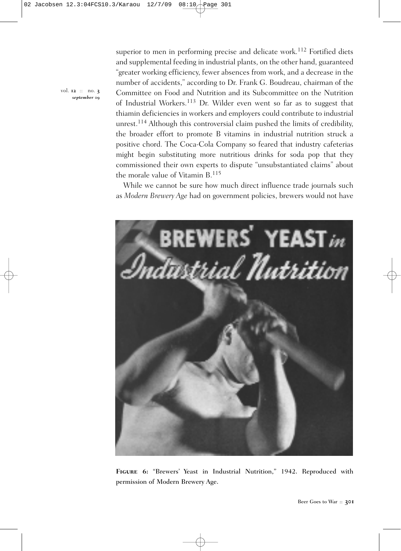superior to men in performing precise and delicate work.<sup>112</sup> Fortified diets and supplemental feeding in industrial plants, on the other hand, guaranteed "greater working efficiency, fewer absences from work, and a decrease in the number of accidents," according to Dr. Frank G. Boudreau, chairman of the Committee on Food and Nutrition and its Subcommittee on the Nutrition of Industrial Workers. <sup>113</sup> Dr. Wilder even went so far as to suggest that thiamin deficiencies in workers and employers could contribute to industrial unrest.<sup>114</sup> Although this controversial claim pushed the limits of credibility, the broader effort to promote B vitamins in industrial nutrition struck a positive chord. The Coca-Cola Company so feared that industry cafeterias might begin substituting more nutritious drinks for soda pop that they commissioned their own experts to dispute "unsubstantiated claims" about the morale value of Vitamin B. 115

While we cannot be sure how much direct influence trade journals such as *Modern Brewery Age* had on government policies, brewers would not have



**Figure 6:** "Brewers' Yeast in Industrial Nutrition," 1942. Reproduced with permission of Modern Brewery Age.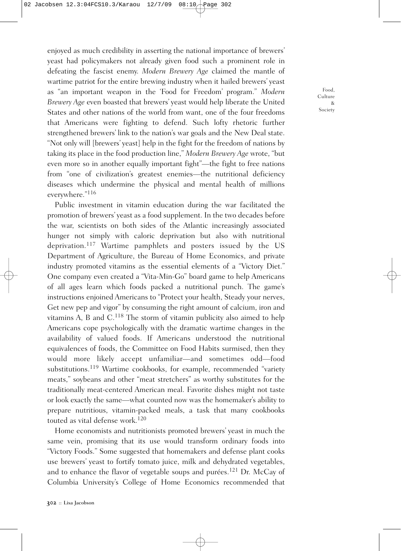enjoyed as much credibility in asserting the national importance of brewers' yeast had policymakers not already given food such a prominent role in defeating the fascist enemy. *Modern Brewery Age* claimed the mantle of wartime patriot for the entire brewing industry when it hailed brewers' yeast as "an important weapon in the 'Food for Freedom' program." *Modern Brewery Age* even boasted that brewers' yeast would help liberate the United States and other nations of the world from want, one of the four freedoms that Americans were fighting to defend. Such lofty rhetoric further strengthened brewers' link to the nation's war goals and the New Deal state. "Not only will [brewers' yeast] help in the fight for the freedom of nations by taking its place in the food production line," *Modern Brewery Age* wrote, "but even more so in another equally important fight"—the fight to free nations from "one of civilization's greatest enemies—the nutritional deficiency diseases which undermine the physical and mental health of millions everywhere."116

Public investment in vitamin education during the war facilitated the promotion of brewers' yeast as a food supplement. In the two decades before the war, scientists on both sides of the Atlantic increasingly associated hunger not simply with caloric deprivation but also with nutritional deprivation. <sup>117</sup> Wartime pamphlets and posters issued by the US Department of Agriculture, the Bureau of Home Economics, and private industry promoted vitamins as the essential elements of a "Victory Diet." One company even created a "Vita-Min-Go" board game to help Americans of all ages learn which foods packed a nutritional punch. The game's instructions enjoined Americans to "Protect your health, Steady your nerves, Get new pep and vigor" by consuming the right amount of calcium, iron and vitamins A, B and C.<sup>118</sup> The storm of vitamin publicity also aimed to help Americans cope psychologically with the dramatic wartime changes in the availability of valued foods. If Americans understood the nutritional equivalences of foods, the Committee on Food Habits surmised, then they would more likely accept unfamiliar—and sometimes odd—food substitutions.<sup>119</sup> Wartime cookbooks, for example, recommended "variety meats," soybeans and other "meat stretchers" as worthy substitutes for the traditionally meat-centered American meal. Favorite dishes might not taste or look exactly the same—what counted now was the homemaker's ability to prepare nutritious, vitamin-packed meals, a task that many cookbooks touted as vital defense work. 120

Home economists and nutritionists promoted brewers' yeast in much the same vein, promising that its use would transform ordinary foods into "Victory Foods." Some suggested that homemakers and defense plant cooks use brewers' yeast to fortify tomato juice, milk and dehydrated vegetables, and to enhance the flavor of vegetable soups and purées.<sup>121</sup> Dr. McCay of Columbia University's College of Home Economics recommended that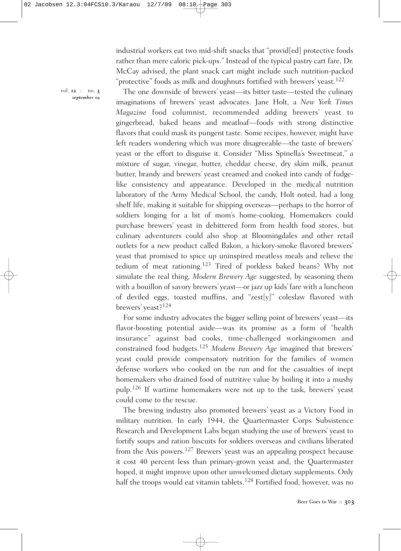industrial workers eat two mid-shift snacks that "provid[ed] protective foods rather than mere caloric pick-ups." Instead of the typical pastry cart fare, Dr. McCay advised, the plant snack cart might include such nutrition-packed "protective" foods as milk and doughnuts fortified with brewers' yeast. 122

vol. **12** :: no. **3** *september* **09**

The one downside of brewers' yeast—its bitter taste—tested the culinary imaginations of brewers' yeast advocates. Jane Holt, a *New York Times Magazine* food columnist, recommended adding brewers' yeast to gingerbread, baked beans and meatloaf—foods with strong distinctive flavors that could mask its pungent taste. Some recipes, however, might have left readers wondering which was more disagreeable—the taste of brewers' yeast or the effort to disguise it. Consider "Miss Spinella's Sweetmeat," a mixture of sugar, vinegar, butter, cheddar cheese, dry skim milk, peanut butter, brandy and brewers' yeast creamed and cooked into candy of fudgelike consistency and appearance. Developed in the medical nutrition laboratory of the Army Medical School, the candy, Holt noted, had a long shelf life, making it suitable for shipping overseas—perhaps to the horror of soldiers longing for a bit of mom's home-cooking. Homemakers could purchase brewers' yeast in debittered form from health food stores, but culinary adventurers could also shop at Bloomingdales and other retail outlets for a new product called Bakon, a hickory-smoke flavored brewers' yeast that promised to spice up uninspired meatless meals and relieve the tedium of meat rationing. <sup>123</sup> Tired of porkless baked beans? Why not simulate the real thing, *Modern Brewery Age* suggested, by seasoning them with a bouillon of savory brewers' yeast—or jazz up kids' fare with a luncheon of deviled eggs, toasted muffins, and "zest[y]" coleslaw flavored with brewers' yeast?124

For some industry advocates the bigger selling point of brewers' yeast—its flavor-boosting potential aside—was its promise as a form of "health insurance" against bad cooks, time-challenged workingwomen and constrained food budgets. <sup>125</sup> *Modern Brewery Age* imagined that brewers' yeast could provide compensatory nutrition for the families of women defense workers who cooked on the run and for the casualties of inept homemakers who drained food of nutritive value by boiling it into a mushy pulp. <sup>126</sup> If wartime homemakers were not up to the task, brewers' yeast could come to the rescue.

The brewing industry also promoted brewers' yeast as a Victory Food in military nutrition. In early 1944, the Quartermaster Corps Subsistence Research and Development Labs began studying the use of brewers' yeast to fortify soups and ration biscuits for soldiers overseas and civilians liberated from the Axis powers.<sup>127</sup> Brewers' yeast was an appealing prospect because it cost 40 percent less than primary-grown yeast and, the Quartermaster hoped, it might improve upon other unwelcomed dietary supplements. Only half the troops would eat vitamin tablets.<sup>128</sup> Fortified food, however, was no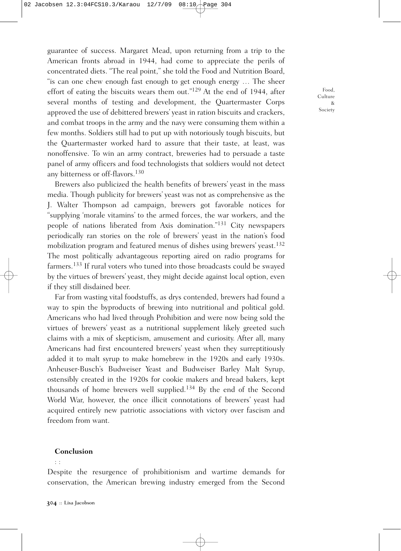guarantee of success. Margaret Mead, upon returning from a trip to the American fronts abroad in 1944, had come to appreciate the perils of concentrated diets. "The real point," she told the Food and Nutrition Board, "is can one chew enough fast enough to get enough energy … The sheer effort of eating the biscuits wears them out."129 At the end of 1944, after several months of testing and development, the Quartermaster Corps approved the use of debittered brewers' yeast in ration biscuits and crackers, and combat troops in the army and the navy were consuming them within a few months. Soldiers still had to put up with notoriously tough biscuits, but the Quartermaster worked hard to assure that their taste, at least, was nonoffensive. To win an army contract, breweries had to persuade a taste panel of army officers and food technologists that soldiers would not detect any bitterness or off-flavors. 130

Brewers also publicized the health benefits of brewers' yeast in the mass media. Though publicity for brewers' yeast was not as comprehensive as the J. Walter Thompson ad campaign, brewers got favorable notices for "supplying 'morale vitamins' to the armed forces, the war workers, and the people of nations liberated from Axis domination."131 City newspapers periodically ran stories on the role of brewers' yeast in the nation's food mobilization program and featured menus of dishes using brewers' yeast. 132 The most politically advantageous reporting aired on radio programs for farmers.<sup>133</sup> If rural voters who tuned into those broadcasts could be swayed by the virtues of brewers' yeast, they might decide against local option, even if they still disdained beer.

Far from wasting vital foodstuffs, as drys contended, brewers had found a way to spin the byproducts of brewing into nutritional and political gold. Americans who had lived through Prohibition and were now being sold the virtues of brewers' yeast as a nutritional supplement likely greeted such claims with a mix of skepticism, amusement and curiosity. After all, many Americans had first encountered brewers' yeast when they surreptitiously added it to malt syrup to make homebrew in the 1920s and early 1930s. Anheuser-Busch's Budweiser Yeast and Budweiser Barley Malt Syrup, ostensibly created in the 1920s for cookie makers and bread bakers, kept thousands of home brewers well supplied. <sup>134</sup> By the end of the Second World War, however, the once illicit connotations of brewers' yeast had acquired entirely new patriotic associations with victory over fascism and freedom from want.

### **Conclusion**

: :

Despite the resurgence of prohibitionism and wartime demands for conservation, the American brewing industry emerged from the Second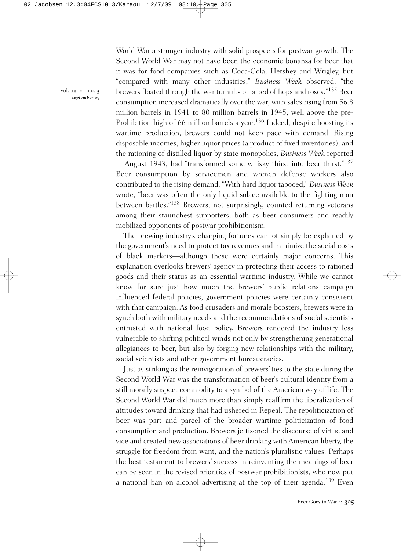World War a stronger industry with solid prospects for postwar growth. The Second World War may not have been the economic bonanza for beer that it was for food companies such as Coca-Cola, Hershey and Wrigley, but "compared with many other industries," *Business Week* observed, "the brewers floated through the war tumults on a bed of hops and roses."135 Beer consumption increased dramatically over the war, with sales rising from 56.8 million barrels in 1941 to 80 million barrels in 1945, well above the pre-Prohibition high of 66 million barrels a year.<sup>136</sup> Indeed, despite boosting its wartime production, brewers could not keep pace with demand. Rising disposable incomes, higher liquor prices (a product of fixed inventories), and the rationing of distilled liquor by state monopolies, *Business Week* reported in August 1943, had "transformed some whisky thirst into beer thirst."137 Beer consumption by servicemen and women defense workers also contributed to the rising demand. "With hard liquor tabooed," *Business Week* wrote, "beer was often the only liquid solace available to the fighting man between battles."138 Brewers, not surprisingly, counted returning veterans among their staunchest supporters, both as beer consumers and readily mobilized opponents of postwar prohibitionism.

The brewing industry's changing fortunes cannot simply be explained by the government's need to protect tax revenues and minimize the social costs of black markets—although these were certainly major concerns. This explanation overlooks brewers' agency in protecting their access to rationed goods and their status as an essential wartime industry. While we cannot know for sure just how much the brewers' public relations campaign influenced federal policies, government policies were certainly consistent with that campaign. As food crusaders and morale boosters, brewers were in synch both with military needs and the recommendations of social scientists entrusted with national food policy. Brewers rendered the industry less vulnerable to shifting political winds not only by strengthening generational allegiances to beer, but also by forging new relationships with the military, social scientists and other government bureaucracies.

Just as striking as the reinvigoration of brewers' ties to the state during the Second World War was the transformation of beer's cultural identity from a still morally suspect commodity to a symbol of the American way of life. The Second World War did much more than simply reaffirm the liberalization of attitudes toward drinking that had ushered in Repeal. The repoliticization of beer was part and parcel of the broader wartime politicization of food consumption and production. Brewers jettisoned the discourse of virtue and vice and created new associations of beer drinking with American liberty, the struggle for freedom from want, and the nation's pluralistic values. Perhaps the best testament to brewers' success in reinventing the meanings of beer can be seen in the revised priorities of postwar prohibitionists, who now put a national ban on alcohol advertising at the top of their agenda.<sup>139</sup> Even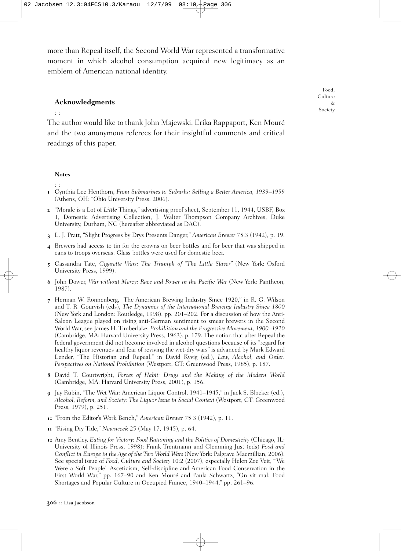more than Repeal itself, the Second World War represented a transformative moment in which alcohol consumption acquired new legitimacy as an emblem of American national identity.

### **Acknowledgments**

The author would like to thank John Majewski, Erika Rappaport, Ken Mouré and the two anonymous referees for their insightful comments and critical readings of this paper.

#### **Notes**

: :

: :

- **1** Cynthia Lee Henthorn, *From Submarines to Suburbs: Selling a Better America, 1939–1959* (Athens, OH: "Ohio University Press, 2006).
- **2** "Morale is a Lot of *Little* Things," advertising proof sheet, September 11, 1944, USBF, Box 1, Domestic Advertising Collection, J. Walter Thompson Company Archives, Duke University, Durham, NC (hereafter abbreviated as DAC).
- **3** L. J. Pratt, "Slight Progress by Drys Presents Danger," *American Brewer* 75:3 (1942), p. 19.
- **4** Brewers had access to tin for the crowns on beer bottles and for beer that was shipped in cans to troops overseas. Glass bottles were used for domestic beer.
- **5** Cassandra Tate, *Cigarette Wars: The Triumph of "The Little Slaver"* (New York: Oxford University Press, 1999).
- **6** John Dower, *War without Mercy: Race and Power in the Pacific War* (New York: Pantheon, 1987).
- **7** Herman W. Ronnenberg, "The American Brewing Industry Since 1920," in R. G. Wilson and T. R. Gourvish (eds), *The Dynamics of the International Brewing Industry Since 1800* (New York and London: Routledge, 1998), pp. 201–202. For a discussion of how the Anti-Saloon League played on rising anti-German sentiment to smear brewers in the Second World War, see James H. Timberlake, *Prohibition and the Progressive Movement*, *1900–1920* (Cambridge, MA: Harvard University Press, 1963), p. 179. The notion that after Repeal the federal government did not become involved in alcohol questions because of its "regard for healthy liquor revenues and fear of reviving the wet-dry wars" is advanced by Mark Edward Lender, "The Historian and Repeal," in David Kyvig (ed.), *Law, Alcohol, and Order: Perspectives on National Prohibition* (Westport, CT: Greenwood Press, 1985), p. 187.
- **8** David T. Courtwright, *Forces of Habit: Drugs and the Making of the Modern World* (Cambridge, MA: Harvard University Press, 2001), p. 156.
- **9** Jay Rubin, "The Wet War: American Liquor Control, 1941–1945," in Jack S. Blocker (ed.), *Alcohol, Reform, and Society: The Liquor Issue in Social Context* (Westport, CT: Greenwood Press, 1979), p. 251.
- **10** "From the Editor's Work Bench," *American Brewer* 75:3 (1942), p. 11.
- **11** "Rising Dry Tide," *Newsweek* 25 (May 17, 1945), p. 64.
- **12** Amy Bentley, *Eating for Victory: Food Rationing and the Politics of Domesticity* (Chicago, IL: University of Illinois Press, 1998); Frank Trentmann and Glemming Just (eds) *Food and Conflict in Europe in the Age of the Two World Wars* (New York: Palgrave Macmillian, 2006). See special issue of *Food, Culture and Society* 10:2 (2007), especially Helen Zoe Veit, "'We Were a Soft People': Asceticism, Self-discipline and American Food Conservation in the First World War," pp. 167–90 and Ken Mouré and Paula Schwartz, "On vit mal: Food Shortages and Popular Culture in Occupied France, 1940–1944," pp. 261–96.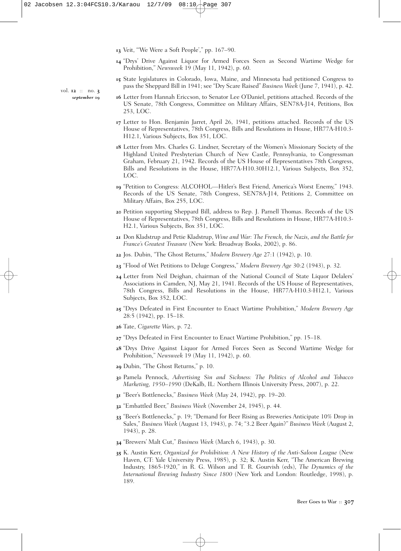**13** Veit, "'We Were a Soft People'," pp. 167–90.

- **14** "Drys' Drive Against Liquor for Armed Forces Seen as Second Wartime Wedge for Prohibition," *Newsweek* 19 (May 11, 1942), p. 60.
- **15** State legislatures in Colorado, Iowa, Maine, and Minnesota had petitioned Congress to pass the Sheppard Bill in 1941; see "Dry Scare Raised" *Business Week* (June 7, 1941), p. 42.
- **16** Letter from Hannah Ericcson, to Senator Lee O'Daniel, petitions attached. Records of the US Senate, 78th Congress, Committee on Military Affairs, SEN78A-J14, Petitions, Box 253, LOC.
- **17** Letter to Hon. Benjamin Jarret, April 26, 1941, petitions attached. Records of the US House of Representatives, 78th Congress, Bills and Resolutions in House, HR77A-H10.3- H12.1, Various Subjects, Box 351, LOC.
- **18** Letter from Mrs. Charles G. Lindner, Secretary of the Women's Missionary Society of the Highland United Presbyterian Church of New Castle, Pennsylvania, to Congressman Graham, February 21, 1942. Records of the US House of Representatives 78th Congress, Bills and Resolutions in the House, HR77A-H10.30H12.1, Various Subjects, Box 352, LOC.
- **19** "Petition to Congress: ALCOHOL—Hitler's Best Friend, America's Worst Enemy," 1943. Records of the US Senate, 78th Congress, SEN78A-J14, Petitions 2, Committee on Military Affairs, Box 255, LOC.
- **20** Petition supporting Sheppard Bill, address to Rep. J. Parnell Thomas. Records of the US House of Representatives, 78th Congress, Bills and Resolutions in House, HR77A-H10.3- H2.1, Various Subjects, Box 351, LOC.
- **21** Don Kladstrup and Petie Kladstrup, *Wine and War: The French, the Nazis, and the Battle for France's Greatest Treasure* (New York: Broadway Books, 2002), p. 86.
- **22** Jos. Dubin, "The Ghost Returns," *Modern Brewery Age* 27:1 (1942), p. 10.
- **23** "Flood of Wet Petitions to Deluge Congress," *Modern Brewery Age* 30:2 (1943), p. 32.
- **24** Letter from Neil Deighan, chairman of the National Council of State Liquor Delalers' Associations in Camden, NJ, May 21, 1941. Records of the US House of Representatives, 78th Congress, Bills and Resolutions in the House, HR77A-H10.3-H12.1, Various Subjects, Box 352, LOC.
- **25** "Drys Defeated in First Encounter to Enact Wartime Prohibition," *Modern Brewery Age* 28:5 (1942), pp. 15–18.
- **26** Tate, *Cigarette Wars*, p. 72.
- **27** "Drys Defeated in First Encounter to Enact Wartime Prohibition," pp. 15–18.
- **28** "Drys Drive Against Liquor for Armed Forces Seen as Second Wartime Wedge for Prohibition," *Newsweek* 19 (May 11, 1942), p. 60.
- **29** Dubin, "The Ghost Returns," p. 10.
- **30** Pamela Pennock, *Advertising Sin and Sickness: The Politics of Alcohol and Tobacco Marketing, 1950–1990* (DeKalb, IL: Northern Illinois University Press, 2007), p. 22.
- **31** "Beer's Bottlenecks," *Business Week* (May 24, 1942), pp. 19–20.
- **32** "Embattled Beer," *Business Week* (November 24, 1945), p. 44.
- **33** "Beer's Bottlenecks," p. 19; "Demand for Beer Rising as Breweries Anticipate 10% Drop in Sales," *Business Week* (August 13, 1943), p. 74; "3.2 Beer Again?" *Business Week* (August 2, 1943), p. 28.
- **34** "Brewers' Malt Cut," *Business Week* (March 6, 1943), p. 30.
- **35** K. Austin Kerr, *Organized for Prohibition: A New History of the Anti-Saloon League* (New Haven, CT: Yale University Press, 1985), p. 32; K. Austin Kerr, "The American Brewing Industry, 1865-1920," in R. G. Wilson and T. R. Gourvish (eds), *The Dynamics of the International Brewing Industry Since 1800* (New York and London: Routledge, 1998), p. 189.

vol. **12** :: no. **3** *september* **09**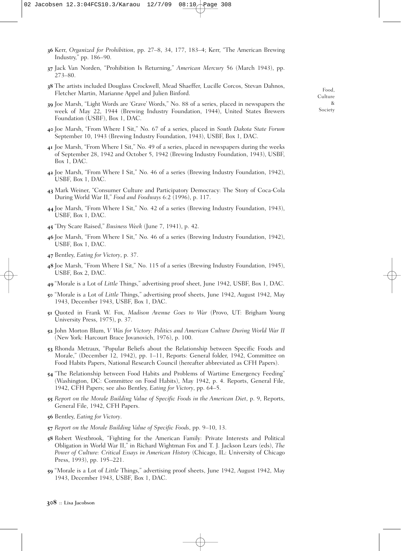- **36** Kerr, *Organized for Prohibition*, pp. 27–8, 34, 177, 183–4; Kerr, "The American Brewing Industry," pp. 186–90.
- **37** Jack Van Norden, "Prohibition Is Returning," *American Mercury* 56 (March 1943), pp. 273–80.
- **38** The artists included Douglass Crockwell, Mead Shaeffer, Lucille Corcos, Stevan Dahnos, Fletcher Martin, Marianne Appel and Julien Binford.
- **39** Joe Marsh, "Light Words are 'Grave' Words," No. 88 of a series, placed in newspapers the week of May 22, 1944 (Brewing Industry Foundation, 1944), United States Brewers Foundation (USBF), Box 1, DAC.
- **40** Joe Marsh, "From Where I Sit," No. 67 of a series, placed in *South Dakota State Forum* September 10, 1943 (Brewing Industry Foundation, 1943), USBF, Box 1, DAC.
- **41** Joe Marsh, "From Where I Sit," No. 49 of a series, placed in newspapers during the weeks of September 28, 1942 and October 5, 1942 (Brewing Industry Foundation, 1943), USBF, Box 1, DAC.
- **42** Joe Marsh, "From Where I Sit," No. 46 of a series (Brewing Industry Foundation, 1942), USBF, Box 1, DAC.
- **43** Mark Weiner, "Consumer Culture and Participatory Democracy: The Story of Coca-Cola During World War II," *Food and Foodways* 6:2 (1996), p. 117.
- **44** Joe Marsh, "From Where I Sit," No. 42 of a series (Brewing Industry Foundation, 1943), USBF, Box 1, DAC.
- **45** "Dry Scare Raised," *Business Week* (June 7, 1941), p. 42.
- **46** Joe Marsh, "From Where I Sit," No. 46 of a series (Brewing Industry Foundation, 1942), USBF, Box 1, DAC.
- **47** Bentley, *Eating for Victory*, p. 37.
- **48** Joe Marsh, "From Where I Sit," No. 115 of a series (Brewing Industry Foundation, 1945), USBF, Box 2, DAC.
- **49** "Morale is a Lot of *Little* Things," advertising proof sheet, June 1942, USBF, Box 1, DAC.
- **50** "Morale is a Lot of *Little* Things," advertising proof sheets, June 1942, August 1942, May 1943, December 1943, USBF, Box 1, DAC.
- **51** Quoted in Frank W. Fox, *Madison Avenue Goes to War* (Provo, UT: Brigham Young University Press, 1975), p. 37.
- **52** John Morton Blum, *V Was for Victory: Politics and American Culture During World War II* (New York: Harcourt Brace Jovanovich, 1976), p. 100.
- **53** Rhonda Metraux, "Popular Beliefs about the Relationship between Specific Foods and Morale," (December 12, 1942), pp. 1–11, Reports: General folder, 1942, Committee on Food Habits Papers, National Research Council (hereafter abbreviated as CFH Papers).
- **54** "The Relationship between Food Habits and Problems of Wartime Emergency Feeding" (Washington, DC: Committee on Food Habits), May 1942, p. 4. Reports, General File, 1942, CFH Papers; see also Bentley, *Eating for Victory*, pp. 64–5.
- **55** *Report on the Morale Building Value of Specific Foods in the American Diet*, p. 9, Reports, General File, 1942, CFH Papers.
- **56** Bentley, *Eating for Victory*.
- **57** *Report on the Morale Building Value of Specific Foods*, pp. 9–10, 13.
- **58** Robert Westbrook, "Fighting for the American Family: Private Interests and Political Obligation in World War II," in Richard Wightman Fox and T. J. Jackson Lears (eds), *The Power of Culture: Critical Essays in American History* (Chicago, IL: University of Chicago Press, 1993), pp. 195–221.
- **59** "Morale is a Lot of *Little* Things," advertising proof sheets, June 1942, August 1942, May 1943, December 1943, USBF, Box 1, DAC.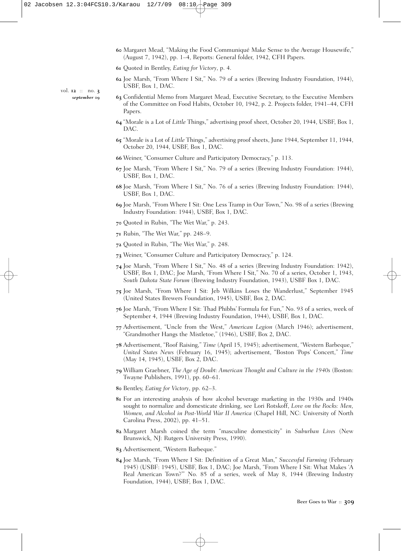- **60** Margaret Mead, "Making the Food Communiqué Make Sense to the Average Housewife," (August 7, 1942), pp. 1–4, Reports: General folder, 1942, CFH Papers.
- **61** Quoted in Bentley, *Eating for Victory*, p. 4.
- **62** Joe Marsh, "From Where I Sit," No. 79 of a series (Brewing Industry Foundation, 1944), USBF, Box 1, DAC.
- **63** Confidential Memo from Margaret Mead, Executive Secretary, to the Executive Members of the Committee on Food Habits, October 10, 1942, p. 2. Projects folder, 1941–44, CFH Papers.
- **64** "Morale is a Lot of *Little* Things," advertising proof sheet, October 20, 1944, USBF, Box 1, DAC.
- **65** "Morale is a Lot of *Little* Things," advertising proof sheets, June 1944, September 11, 1944, October 20, 1944, USBF, Box 1, DAC.
- **66** Weiner, "Consumer Culture and Participatory Democracy," p. 113.
- **67** Joe Marsh, "From Where I Sit," No. 79 of a series (Brewing Industry Foundation: 1944), USBF, Box 1, DAC.
- **68** Joe Marsh, "From Where I Sit," No. 76 of a series (Brewing Industry Foundation: 1944), USBF, Box 1, DAC.
- **69** Joe Marsh, "From Where I Sit: One Less Tramp in Our Town," No. 98 of a series (Brewing Industry Foundation: 1944), USBF, Box 1, DAC.
- **70** Quoted in Rubin, "The Wet War," p. 243.
- **71** Rubin, "The Wet War," pp. 248–9.
- **72** Quoted in Rubin, "The Wet War," p. 248.
- **73** Weiner, "Consumer Culture and Participatory Democracy," p. 124.
- **74** Joe Marsh, "From Where I Sit," No. 48 of a series (Brewing Industry Foundation: 1942), USBF, Box 1, DAC; Joe Marsh, "From Where I Sit," No. 70 of a series, October 1, 1943, *South Dakota State Forum* (Brewing Industry Foundation, 1943), USBF Box 1, DAC.
- **75** Joe Marsh, "From Where I Sit: Jeb Wilkins Loses the Wanderlust," September 1945 (United States Brewers Foundation, 1945), USBF, Box 2, DAC.
- **76** Joe Marsh, "From Where I Sit: Thad Phibbs' Formula for Fun," No. 93 of a series, week of September 4, 1944 (Brewing Industry Foundation, 1944), USBF, Box 1, DAC.
- **77** Advertisement, "Uncle from the West," *American Legion* (March 1946); advertisement, "Grandmother Hangs the Mistletoe," (1946), USBF, Box 2, DAC.
- **78** Advertisement, "Roof Raising," *Time* (April 15, 1945); advertisement, "Western Barbeque," *United States News* (February 16, 1945); advertisement, "Boston 'Pops' Concert," *Time* (May 14, 1945), USBF, Box 2, DAC.
- **79** William Graebner, *The Age of Doubt: American Thought and Culture in the 1940s* (Boston: Twayne Publishers, 1991), pp. 60–61.
- **80** Bentley, *Eating for Victory*, pp. 62–3.
- **81** For an interesting analysis of how alcohol beverage marketing in the 1930s and 1940s sought to normalize and domesticate drinking, see Lori Rotskoff, *Love on the Rocks: Men, Women, and Alcohol in Post-World War II America* (Chapel Hill, NC: University of North Carolina Press, 2002), pp. 41–51.
- **82** Margaret Marsh coined the term "masculine domesticity" in *Suburban Lives* (New Brunswick, NJ: Rutgers University Press, 1990).
- **83** Advertisement, "Western Barbeque."
- **84** Joe Marsh, "From Where I Sit: Definition of a Great Man," *Successful Farming* (February 1945) (USBF: 1945), USBF, Box 1, DAC; Joe Marsh, "From Where I Sit: What Makes 'A Real American Town?'" No. 85 of a series, week of May 8, 1944 (Brewing Industry Foundation, 1944), USBF, Box 1, DAC.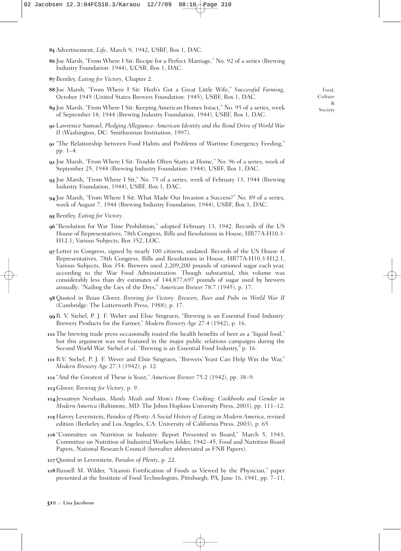- **85** Advertisement, *Life*, March 9, 1942, USBF, Box 1, DAC.
- **86** Joe Marsh, "From Where I Sit: Recipe for a Perfect Marriage," No. 92 of a series (Brewing Industry Foundation: 1944), UCSB, Box 1, DAC.
- **87** Bentley, *Eating for Victory*, Chapter 2.
- **88** Joe Marsh, "From Where I Sit: Herb's Got a Great Little Wife," *Successful Farming,* October 1945 (United States Brewers Foundation: 1945), USBF, Box 1, DAC.
- **89** Joe Marsh, "From Where I Sit: Keeping American Homes Intact," No. 95 of a series, week of September 18, 1944 (Brewing Industry Foundation, 1944), USBF, Box 1, DAC.
- **90** Lawrence Samuel, *Pledging Allegiance: American Identity and the Bond Drive of World War II* (Washington, DC: Smithsonian Institution, 1997).
- **91** "The Relationship between Food Habits and Problems of Wartime Emergency Feeding," pp. 1–4.
- **92** Joe Marsh, "From Where I Sit: Trouble Often Starts at Home," No. 96 of a series, week of September 25, 1944 (Brewing Industry Foundation: 1944), USBF, Box 1, DAC.
- **93** Joe Marsh, "From Where I Sit," No. 75 of a series, week of February 13, 1944 (Brewing Industry Foundation, 1944), USBF, Box 1, DAC.
- **94** Joe Marsh, "From Where I Sit: What Made Our Invasion a Success?" No. 89 of a series, week of August 7, 1944 (Brewing Industry Foundation, 1944), USBF, Box 1, DAC.
- **95** Bentley, *Eating for Victory*.
- **96** "Resolution for War Time Prohibition," adopted February 13, 1942. Records of the US House of Representatives, 78th Congress, Bills and Resolutions in House, HR77A-H10.3- H12.1, Various Subjects, Box 352, LOC.
- **97** Letter to Congress, signed by nearly 100 citizens, undated. Records of the US House of Representatives, 78th Congress, Bills and Resolutions in House, HR77A-H10.3-H12.1, Various Subjects, Box 354. Brewers used 2,209,200 pounds of rationed sugar each year, according to the War Food Administration. Though substantial, this volume was considerably less than dry estimates of 144,877,697 pounds of sugar used by brewers annually; "Nailing the Lies of the Drys," *American Brewer* 78:7 (1945), p. 17.
- **98** Quoted in Brian Glover, *Brewing for Victory: Brewers, Beer and Pubs in World War II* (Cambridge: The Lutterworth Press, 1988), p. 17.
- **99** R. V. Siebel, P. J. F. Weber and Elsie Singruen, "Brewing is an Essential Food Industry: Brewery Products for the Farmer," *Modern Brewery Age* 27:4 (1942), p. 16.
- **100** The brewing trade press occasionally touted the health benefits of beer as a "liquid food," but this argument was not featured in the major public relations campaigns during the Second World War. Siebel *et al*, "Brewing is an Essential Food Industry," p. 16.
- **101** R.V. Siebel, P. J. F. Wever and Elsie Singruen, "Brewers' Yeast Can Help Win the War," *Modern Brewery Age* 27:3 (1942), p. 12.
- **102** "And the Greatest of These is Yeast," *American Brewer* 75:2 (1942), pp. 38–9.
- **103** Glover, *Brewing for Victory*, p. 9.
- **104**Jessamyn Neuhaus, *Manly Meals and Mom's Home Cooking: Cookbooks and Gender in Modern America* (Baltimore, MD: The Johns Hopkins University Press, 2003), pp. 111–12.
- **105** Harvey Levenstein, *Paradox of Plenty: A Social History of Eating in Modern America*, revised edition (Berkeley and Los Angeles, CA: University of California Press, 2003), p. 65.
- **106** "Committee on Nutrition in Industry: Report Presented to Board," March 5, 1943, Committee on Nutrition of Industrial Workers folder, 1942–45, Food and Nutrition Board Papers, National Research Council (hereafter abbreviated as FNB Papers).
- **107**Quoted in Levenstein, *Paradox of Plenty*, p. 22.
- **108**Russell M. Wilder, "Vitamin Fortification of Foods as Viewed by the Physician," paper presented at the Institute of Food Technologists, Pittsburgh, PA, June 16, 1941, pp. 7–11,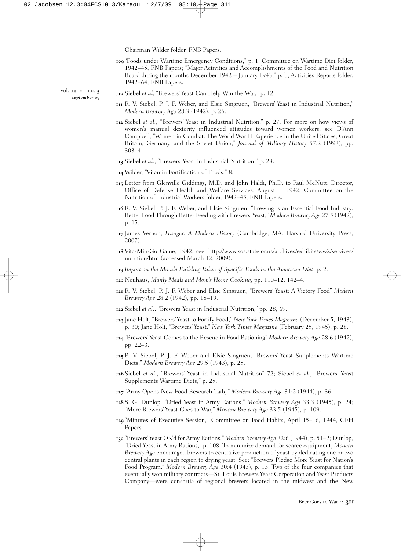Chairman Wilder folder, FNB Papers.

**109** "Foods under Wartime Emergency Conditions," p. 1, Committee on Wartime Diet folder, 1942–45, FNB Papers; "Major Activities and Accomplishments of the Food and Nutrition Board during the months December 1942 – January 1943," p. b, Activities Reports folder, 1942–64, FNB Papers.

vol. **12** :: no. **3** *september* **09**

- **110** Siebel *et al*, "Brewers' Yeast Can Help Win the War," p. 12.
- **111** R. V. Siebel, P. J. F. Weber, and Elsie Singruen, "Brewers' Yeast in Industrial Nutrition," *Modern Brewery Age* 28:3 (1942), p. 26.
- **112** Siebel *et al.*, "Brewers' Yeast in Industrial Nutrition," p. 27. For more on how views of women's manual dexterity influenced attitudes toward women workers, see D'Ann Campbell, "Women in Combat: The World War II Experience in the United States, Great Britain, Germany, and the Soviet Union," *Journal of Military History* 57:2 (1993), pp. 303–4.
- **113** Siebel *et al.*, "Brewers' Yeast in Industrial Nutrition," p. 28.
- **114** Wilder, "Vitamin Fortification of Foods," 8.
- **115** Letter from Glenville Giddings, M.D. and John Haldi, Ph.D. to Paul McNutt, Director, Office of Defense Health and Welfare Services, August 1, 1942, Committee on the Nutrition of Industrial Workers folder, 1942–45, FNB Papers.
- **116** R. V. Siebel, P. J. F. Weber, and Elsie Singruen, "Brewing is an Essential Food Industry: Better Food Through Better Feeding with Brewers'Yeast," *Modern Brewery Age* 27:5 (1942), p. 15.
- **117** James Vernon, *Hunger: A Modern History* (Cambridge, MA: Harvard University Press, 2007).
- **118** Vita-Min-Go Game, 1942, see: http://www.sos.state.or.us/archives/exhibits/ww2/services/ nutrition/htm (accessed March 12, 2009).
- **119** *Report on the Morale Building Value of Specific Foods in the American Diet*, p. 2.
- **120** Neuhaus, *Manly Meals and Mom's Home Cooking*, pp. 110–12, 142–4.
- **121** R. V. Siebel, P. J. F. Weber and Elsie Singruen, "Brewers' Yeast: A Victory Food" *Modern Brewery Age* 28:2 (1942), pp. 18–19.
- **122** Siebel *et al*., "Brewers' Yeast in Industrial Nutrition," pp. 28, 69.
- **123** Jane Holt, "Brewers' Yeast to Fortify Food," *New York Times Magazine* (December 5, 1943), p. 30; Jane Holt, "Brewers' Yeast," *New York Times Magazine* (February 25, 1945), p. 26.
- **124** "Brewers' Yeast Comes to the Rescue in Food Rationing" *Modern Brewery Age* 28:6 (1942), pp. 22–3.
- **125** R. V. Siebel, P. J. F. Weber and Elsie Singruen, "Brewers' Yeast Supplements Wartime Diets," *Modern Brewery Age* 29:5 (1943), p. 25.
- **126** Siebel *et al.*, "Brewers' Yeast in Industrial Nutrition" 72; Siebel *et al.*, "Brewers' Yeast Supplements Wartime Diets," p. 25.
- **127** "Army Opens New Food Research 'Lab,'" *Modern Brewery Age* 31:2 (1944), p. 36.
- **128** S. G. Dunlop, "Dried Yeast in Army Rations," *Modern Brewery Age* 33:3 (1945), p. 24; "More Brewers' Yeast Goes to War," *Modern Brewery Age* 33:5 (1945), p. 109.
- **129** "Minutes of Executive Session," Committee on Food Habits, April 15–16, 1944, CFH Papers.
- **130** "Brewers' Yeast OK'd for Army Rations," *Modern Brewery Age* 32:6 (1944), p. 51–2; Dunlop, "Dried Yeast in Army Rations," p. 108. To minimize demand for scarce equipment, *Modern Brewery Age* encouraged brewers to centralize production of yeast by dedicating one or two central plants in each region to drying yeast. See: "Brewers Pledge More Yeast for Nation's Food Program," *Modern Brewery Age* 30:4 (1943), p. 13. Two of the four companies that eventually won military contracts—St. Louis Brewers Yeast Corporation and Yeast Products Company—were consortia of regional brewers located in the midwest and the New